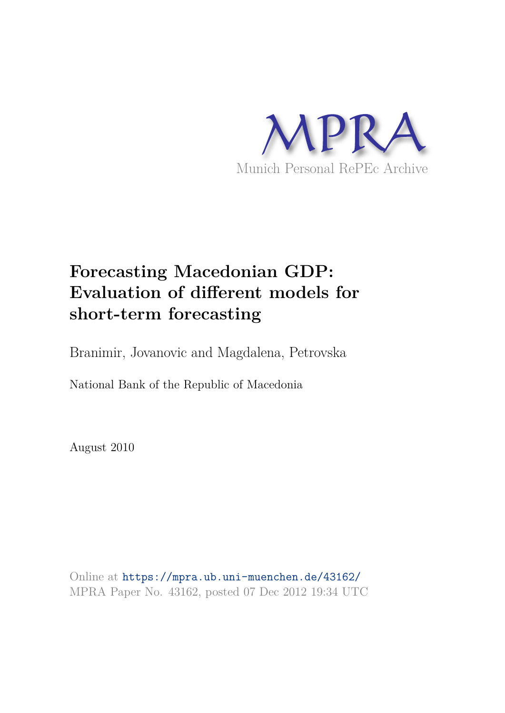

# **Forecasting Macedonian GDP: Evaluation of different models for short-term forecasting**

Branimir, Jovanovic and Magdalena, Petrovska

National Bank of the Republic of Macedonia

August 2010

Online at https://mpra.ub.uni-muenchen.de/43162/ MPRA Paper No. 43162, posted 07 Dec 2012 19:34 UTC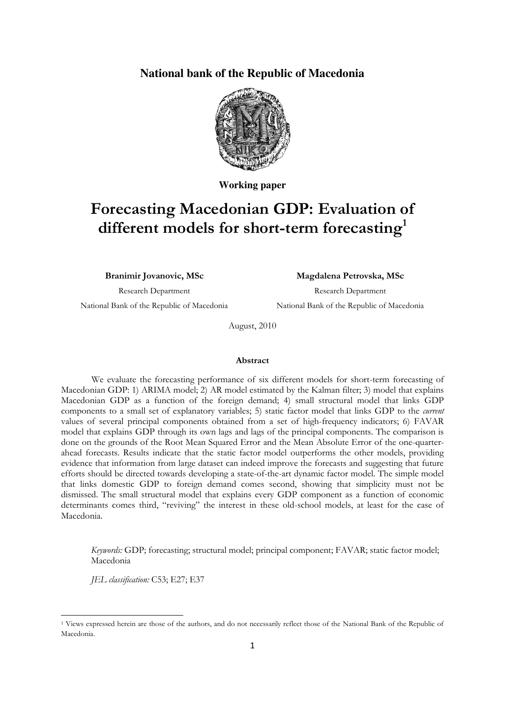## **National bank of the Republic of Macedonia**



**Working paper** 

## **Forecasting Macedonian GDP: Evaluation of different models for short-term forecasting<sup>1</sup>**

**Branimir Jovanovic, MSc** 

#### **Magdalena Petrovska, MSc**

Research Department National Bank of the Republic of Macedonia

Research Department National Bank of the Republic of Macedonia

August, 2010

#### **Abstract**

We evaluate the forecasting performance of six different models for short-term forecasting of Macedonian GDP: 1) ARIMA model; 2) AR model estimated by the Kalman filter; 3) model that explains Macedonian GDP as a function of the foreign demand; 4) small structural model that links GDP components to a small set of explanatory variables; 5) static factor model that links GDP to the *current* values of several principal components obtained from a set of high-frequency indicators; 6) FAVAR model that explains GDP through its own lags and lags of the principal components. The comparison is done on the grounds of the Root Mean Squared Error and the Mean Absolute Error of the one-quarterahead forecasts. Results indicate that the static factor model outperforms the other models, providing evidence that information from large dataset can indeed improve the forecasts and suggesting that future efforts should be directed towards developing a state-of-the-art dynamic factor model. The simple model that links domestic GDP to foreign demand comes second, showing that simplicity must not be dismissed. The small structural model that explains every GDP component as a function of economic determinants comes third, "reviving" the interest in these old-school models, at least for the case of Macedonia.

*Keywords:* GDP; forecasting; structural model; principal component; FAVAR; static factor model; Macedonia

*JEL classification:* C53; E27; E37

.<br>-

<sup>1</sup> Views expressed herein are those of the authors, and do not necessarily reflect those of the National Bank of the Republic of Macedonia.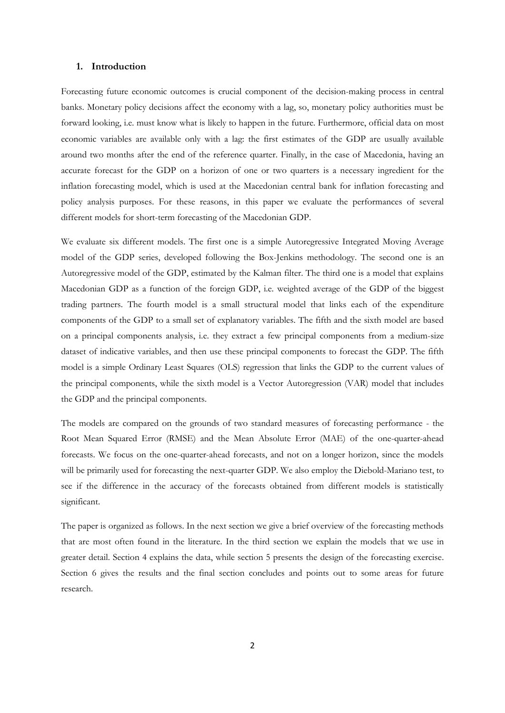#### **1. Introduction**

Forecasting future economic outcomes is crucial component of the decision-making process in central banks. Monetary policy decisions affect the economy with a lag, so, monetary policy authorities must be forward looking, i.e. must know what is likely to happen in the future. Furthermore, official data on most economic variables are available only with a lag: the first estimates of the GDP are usually available around two months after the end of the reference quarter. Finally, in the case of Macedonia, having an accurate forecast for the GDP on a horizon of one or two quarters is a necessary ingredient for the inflation forecasting model, which is used at the Macedonian central bank for inflation forecasting and policy analysis purposes. For these reasons, in this paper we evaluate the performances of several different models for short-term forecasting of the Macedonian GDP.

We evaluate six different models. The first one is a simple Autoregressive Integrated Moving Average model of the GDP series, developed following the Box-Jenkins methodology. The second one is an Autoregressive model of the GDP, estimated by the Kalman filter. The third one is a model that explains Macedonian GDP as a function of the foreign GDP, i.e. weighted average of the GDP of the biggest trading partners. The fourth model is a small structural model that links each of the expenditure components of the GDP to a small set of explanatory variables. The fifth and the sixth model are based on a principal components analysis, i.e. they extract a few principal components from a medium-size dataset of indicative variables, and then use these principal components to forecast the GDP. The fifth model is a simple Ordinary Least Squares (OLS) regression that links the GDP to the current values of the principal components, while the sixth model is a Vector Autoregression (VAR) model that includes the GDP and the principal components.

The models are compared on the grounds of two standard measures of forecasting performance - the Root Mean Squared Error (RMSE) and the Mean Absolute Error (MAE) of the one-quarter-ahead forecasts. We focus on the one-quarter-ahead forecasts, and not on a longer horizon, since the models will be primarily used for forecasting the next-quarter GDP. We also employ the Diebold-Mariano test, to see if the difference in the accuracy of the forecasts obtained from different models is statistically significant.

The paper is organized as follows. In the next section we give a brief overview of the forecasting methods that are most often found in the literature. In the third section we explain the models that we use in greater detail. Section 4 explains the data, while section 5 presents the design of the forecasting exercise. Section 6 gives the results and the final section concludes and points out to some areas for future research.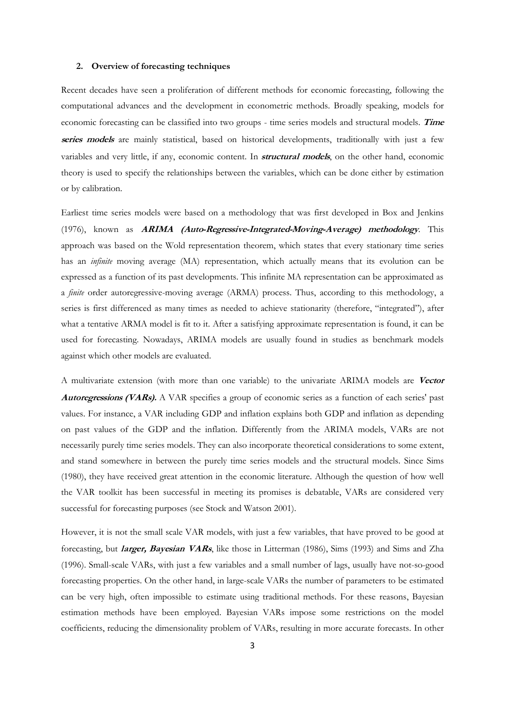#### **2. Overview of forecasting techniques**

Recent decades have seen a proliferation of different methods for economic forecasting, following the computational advances and the development in econometric methods. Broadly speaking, models for economic forecasting can be classified into two groups - time series models and structural models. **Time series models** are mainly statistical, based on historical developments, traditionally with just a few variables and very little, if any, economic content. In **structural models**, on the other hand, economic theory is used to specify the relationships between the variables, which can be done either by estimation or by calibration.

Earliest time series models were based on a methodology that was first developed in Box and Jenkins (1976), known as **ARIMA (Auto-Regressive-Integrated-Moving-Average) methodology**. This approach was based on the Wold representation theorem, which states that every stationary time series has an *infinite* moving average (MA) representation, which actually means that its evolution can be expressed as a function of its past developments. This infinite MA representation can be approximated as a *finite* order autoregressive-moving average (ARMA) process. Thus, according to this methodology, a series is first differenced as many times as needed to achieve stationarity (therefore, "integrated"), after what a tentative ARMA model is fit to it. After a satisfying approximate representation is found, it can be used for forecasting. Nowadays, ARIMA models are usually found in studies as benchmark models against which other models are evaluated.

A multivariate extension (with more than one variable) to the univariate ARIMA models are **Vector Autoregressions (VARs).** A VAR specifies a group of economic series as a function of each series' past values. For instance, a VAR including GDP and inflation explains both GDP and inflation as depending on past values of the GDP and the inflation. Differently from the ARIMA models, VARs are not necessarily purely time series models. They can also incorporate theoretical considerations to some extent, and stand somewhere in between the purely time series models and the structural models. Since Sims (1980), they have received great attention in the economic literature. Although the question of how well the VAR toolkit has been successful in meeting its promises is debatable, VARs are considered very successful for forecasting purposes (see Stock and Watson 2001).

However, it is not the small scale VAR models, with just a few variables, that have proved to be good at forecasting, but **larger, Bayesian VARs**, like those in Litterman (1986), Sims (1993) and Sims and Zha (1996). Small-scale VARs, with just a few variables and a small number of lags, usually have not-so-good forecasting properties. On the other hand, in large-scale VARs the number of parameters to be estimated can be very high, often impossible to estimate using traditional methods. For these reasons, Bayesian estimation methods have been employed. Bayesian VARs impose some restrictions on the model coefficients, reducing the dimensionality problem of VARs, resulting in more accurate forecasts. In other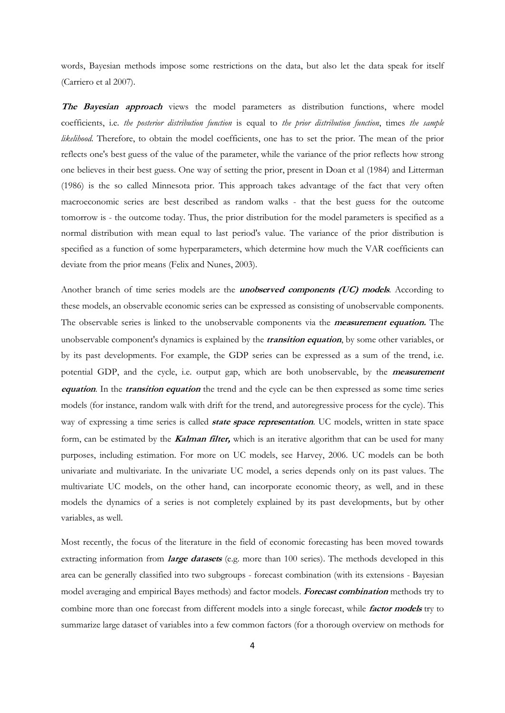words, Bayesian methods impose some restrictions on the data, but also let the data speak for itself (Carriero et al 2007).

**The Bayesian approach** views the model parameters as distribution functions, where model coefficients, i.e. *the posterior distribution function* is equal to *the prior distribution function*, times *the sample likelihood*. Therefore, to obtain the model coefficients, one has to set the prior. The mean of the prior reflects one's best guess of the value of the parameter, while the variance of the prior reflects how strong one believes in their best guess. One way of setting the prior, present in Doan et al (1984) and Litterman (1986) is the so called Minnesota prior. This approach takes advantage of the fact that very often macroeconomic series are best described as random walks - that the best guess for the outcome tomorrow is - the outcome today. Thus, the prior distribution for the model parameters is specified as a normal distribution with mean equal to last period's value. The variance of the prior distribution is specified as a function of some hyperparameters, which determine how much the VAR coefficients can deviate from the prior means (Felix and Nunes, 2003).

Another branch of time series models are the **unobserved components (UC) models**. According to these models, an observable economic series can be expressed as consisting of unobservable components. The observable series is linked to the unobservable components via the **measurement equation.** The unobservable component's dynamics is explained by the **transition equation**, by some other variables, or by its past developments. For example, the GDP series can be expressed as a sum of the trend, i.e. potential GDP, and the cycle, i.e. output gap, which are both unobservable, by the **measurement equation**. In the **transition equation** the trend and the cycle can be then expressed as some time series models (for instance, random walk with drift for the trend, and autoregressive process for the cycle). This way of expressing a time series is called **state space representation**. UC models, written in state space form, can be estimated by the **Kalman filter,** which is an iterative algorithm that can be used for many purposes, including estimation. For more on UC models, see Harvey, 2006. UC models can be both univariate and multivariate. In the univariate UC model, a series depends only on its past values. The multivariate UC models, on the other hand, can incorporate economic theory, as well, and in these models the dynamics of a series is not completely explained by its past developments, but by other variables, as well.

Most recently, the focus of the literature in the field of economic forecasting has been moved towards extracting information from **large datasets** (e.g. more than 100 series). The methods developed in this area can be generally classified into two subgroups - forecast combination (with its extensions - Bayesian model averaging and empirical Bayes methods) and factor models. **Forecast combination** methods try to combine more than one forecast from different models into a single forecast, while **factor models** try to summarize large dataset of variables into a few common factors (for a thorough overview on methods for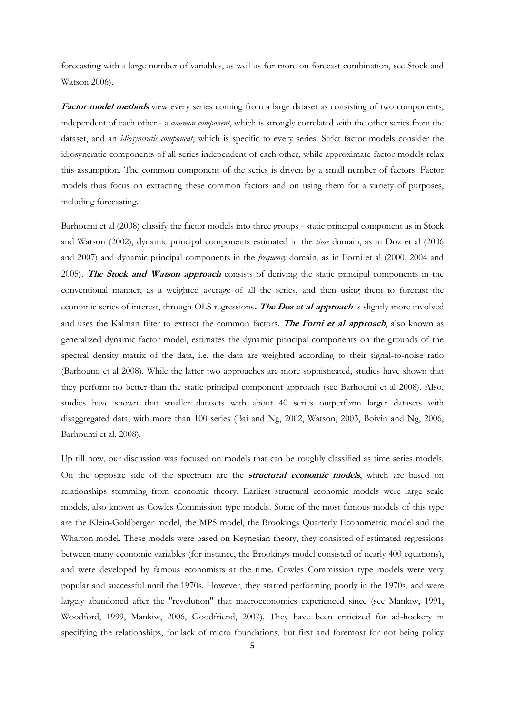forecasting with a large number of variables, as well as for more on forecast combination, see Stock and Watson 2006).

Factor model methods view every series coming from a large dataset as consisting of two components, independent of each other - a *common component*, which is strongly correlated with the other series from the dataset, and an *idiosyncratic component*, which is specific to every series. Strict factor models consider the idiosyncratic components of all series independent of each other, while approximate factor models relax this assumption. The common component of the series is driven by a small number of factors. Factor models thus focus on extracting these common factors and on using them for a variety of purposes, including forecasting.

Barhoumi et al (2008) classify the factor models into three groups - static principal component as in Stock and Watson (2002), dynamic principal components estimated in the *time* domain, as in Doz et al (2006 and 2007) and dynamic principal components in the *frequency* domain, as in Forni et al (2000, 2004 and 2005). **The Stock and Watson approach** consists of deriving the static principal components in the conventional manner, as a weighted average of all the series, and then using them to forecast the economic series of interest, through OLS regressions**. The Doz et al approach** is slightly more involved and uses the Kalman filter to extract the common factors. **The Forni et al approach**, also known as generalized dynamic factor model, estimates the dynamic principal components on the grounds of the spectral density matrix of the data, i.e. the data are weighted according to their signal-to-noise ratio (Barhoumi et al 2008). While the latter two approaches are more sophisticated, studies have shown that they perform no better than the static principal component approach (see Barhoumi et al 2008). Also, studies have shown that smaller datasets with about 40 series outperform larger datasets with disaggregated data, with more than 100 series (Bai and Ng, 2002, Watson, 2003, Boivin and Ng, 2006, Barhoumi et al, 2008).

Up till now, our discussion was focused on models that can be roughly classified as time series models. On the opposite side of the spectrum are the **structural economic models**, which are based on relationships stemming from economic theory. Earliest structural economic models were large scale models, also known as Cowles Commission type models. Some of the most famous models of this type are the Klein-Goldberger model, the MPS model, the Brookings Quarterly Econometric model and the Wharton model. These models were based on Keynesian theory, they consisted of estimated regressions between many economic variables (for instance, the Brookings model consisted of nearly 400 equations), and were developed by famous economists at the time. Cowles Commission type models were very popular and successful until the 1970s. However, they started performing poorly in the 1970s, and were largely abandoned after the "revolution" that macroeconomics experienced since (see Mankiw, 1991, Woodford, 1999, Mankiw, 2006, Goodfriend, 2007). They have been criticized for ad-hockery in specifying the relationships, for lack of micro foundations, but first and foremost for not being policy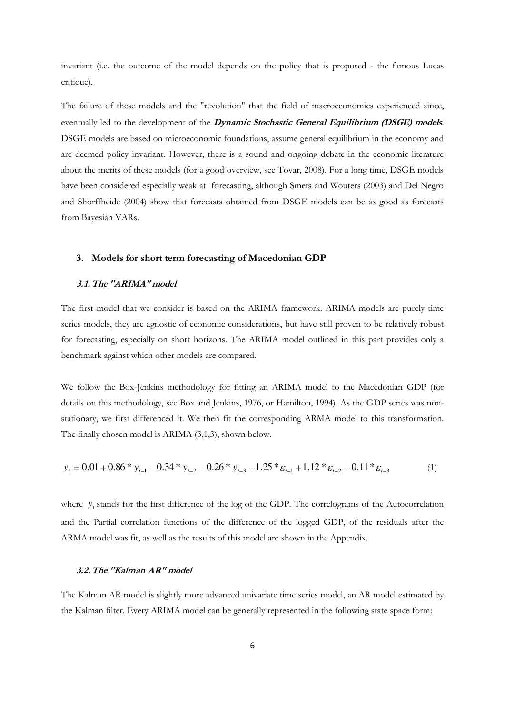invariant (i.e. the outcome of the model depends on the policy that is proposed - the famous Lucas critique).

The failure of these models and the "revolution" that the field of macroeconomics experienced since, eventually led to the development of the **Dynamic Stochastic General Equilibrium (DSGE) models**. DSGE models are based on microeconomic foundations, assume general equilibrium in the economy and are deemed policy invariant. However, there is a sound and ongoing debate in the economic literature about the merits of these models (for a good overview, see Tovar, 2008). For a long time, DSGE models have been considered especially weak at forecasting, although Smets and Wouters (2003) and Del Negro and Shorffheide (2004) show that forecasts obtained from DSGE models can be as good as forecasts from Bayesian VARs.

#### **3. Models for short term forecasting of Macedonian GDP**

#### **3.1.The "ARIMA" model**

The first model that we consider is based on the ARIMA framework. ARIMA models are purely time series models, they are agnostic of economic considerations, but have still proven to be relatively robust for forecasting, especially on short horizons. The ARIMA model outlined in this part provides only a benchmark against which other models are compared.

We follow the Box-Jenkins methodology for fitting an ARIMA model to the Macedonian GDP (for details on this methodology, see Box and Jenkins, 1976, or Hamilton, 1994). As the GDP series was nonstationary, we first differenced it. We then fit the corresponding ARMA model to this transformation. The finally chosen model is ARIMA (3,1,3), shown below.

$$
y_t = 0.01 + 0.86 \times y_{t-1} - 0.34 \times y_{t-2} - 0.26 \times y_{t-3} - 1.25 \times \varepsilon_{t-1} + 1.12 \times \varepsilon_{t-2} - 0.11 \times \varepsilon_{t-3}
$$
 (1)

where  $y_t$  stands for the first difference of the log of the GDP. The correlograms of the Autocorrelation and the Partial correlation functions of the difference of the logged GDP, of the residuals after the ARMA model was fit, as well as the results of this model are shown in the Appendix.

#### **3.2.The "Kalman AR" model**

The Kalman AR model is slightly more advanced univariate time series model, an AR model estimated by the Kalman filter. Every ARIMA model can be generally represented in the following state space form: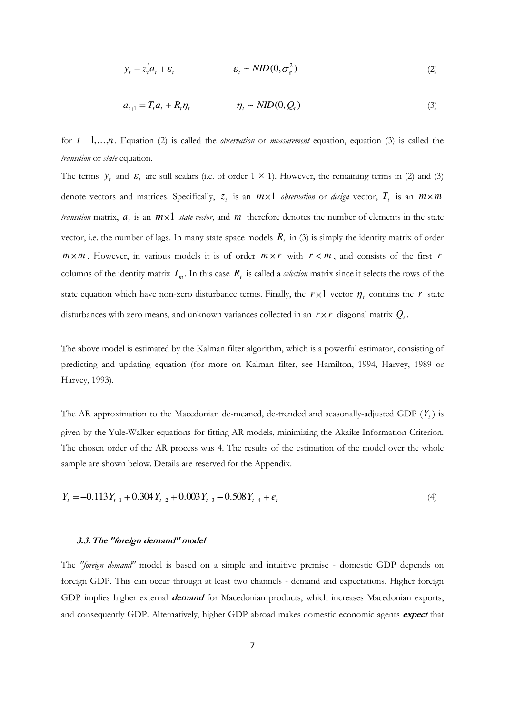$$
y_t = z_t a_t + \varepsilon_t \qquad \qquad \varepsilon_t \sim \text{NID}(0, \sigma_\varepsilon^2) \tag{2}
$$

$$
a_{t+1} = T_t a_t + R_t \eta_t \qquad \eta_t \sim NID(0, Q_t)
$$
\n
$$
(3)
$$

for  $t = 1,...,n$ . Equation (2) is called the *observation* or *measurement* equation, equation (3) is called the *transition* or *state* equation.

The terms  $y_t$  and  $\varepsilon_t$  are still scalars (i.e. of order  $1 \times 1$ ). However, the remaining terms in (2) and (3) denote vectors and matrices. Specifically,  $z_t$  is an  $m \times 1$  *observation* or *design* vector,  $T_t$  is an  $m \times m$ *transition* matrix,  $a_t$  is an  $m \times 1$  *state vector*, and  $m$  therefore denotes the number of elements in the state vector, i.e. the number of lags. In many state space models  $R_t$  in (3) is simply the identity matrix of order  $m \times m$ . However, in various models it is of order  $m \times r$  with  $r < m$ , and consists of the first *r* columns of the identity matrix  $I_m$ . In this case  $R_t$  is called a *selection* matrix since it selects the rows of the state equation which have non-zero disturbance terms. Finally, the  $r \times 1$  vector  $\eta_t$  contains the  $r$  state disturbances with zero means, and unknown variances collected in an  $r \times r$  diagonal matrix  $Q_t$ .

The above model is estimated by the Kalman filter algorithm, which is a powerful estimator, consisting of predicting and updating equation (for more on Kalman filter, see Hamilton, 1994, Harvey, 1989 or Harvey, 1993).

The AR approximation to the Macedonian de-meaned, de-trended and seasonally-adjusted GDP (*Y<sup>t</sup>* ) is given by the Yule-Walker equations for fitting AR models, minimizing the Akaike Information Criterion. The chosen order of the AR process was 4. The results of the estimation of the model over the whole sample are shown below. Details are reserved for the Appendix.

$$
Y_t = -0.113Y_{t-1} + 0.304Y_{t-2} + 0.003Y_{t-3} - 0.508Y_{t-4} + e_t
$$
\n
$$
\tag{4}
$$

#### **3.3.The "foreign demand" model**

The *"foreign demand"* model is based on a simple and intuitive premise - domestic GDP depends on foreign GDP. This can occur through at least two channels - demand and expectations. Higher foreign GDP implies higher external **demand** for Macedonian products, which increases Macedonian exports, and consequently GDP. Alternatively, higher GDP abroad makes domestic economic agents **expect** that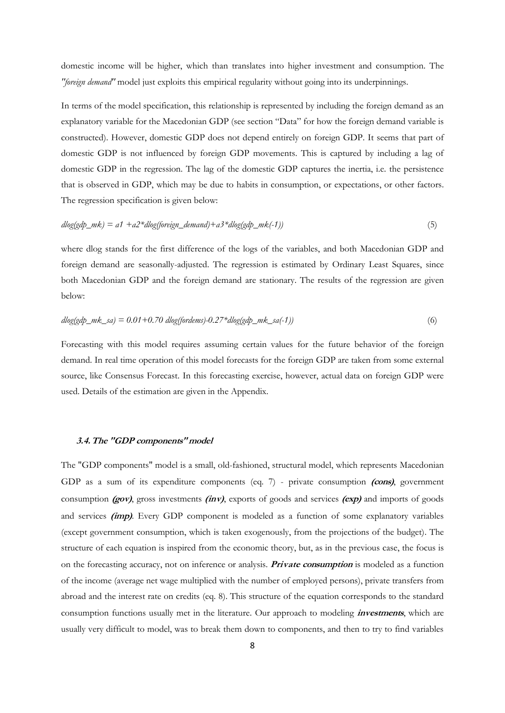domestic income will be higher, which than translates into higher investment and consumption. The *"foreign demand"* model just exploits this empirical regularity without going into its underpinnings.

In terms of the model specification, this relationship is represented by including the foreign demand as an explanatory variable for the Macedonian GDP (see section "Data" for how the foreign demand variable is constructed). However, domestic GDP does not depend entirely on foreign GDP. It seems that part of domestic GDP is not influenced by foreign GDP movements. This is captured by including a lag of domestic GDP in the regression. The lag of the domestic GDP captures the inertia, i.e. the persistence that is observed in GDP, which may be due to habits in consumption, or expectations, or other factors. The regression specification is given below:

$$
d\log(gdp_mk) = a1 + a2 * d\log(boreign\_demand) + a3 * d\log(gdp_mk(-1))
$$
\n(5)

where dlog stands for the first difference of the logs of the variables, and both Macedonian GDP and foreign demand are seasonally-adjusted. The regression is estimated by Ordinary Least Squares, since both Macedonian GDP and the foreign demand are stationary. The results of the regression are given below:

$$
dlog(gdp_mk_ssa) = 0.01 + 0.70 \text{ dlog(fordems)} - 0.27 * dlog(gdp_mk_ssa(-1))
$$
\n
$$
(6)
$$

Forecasting with this model requires assuming certain values for the future behavior of the foreign demand. In real time operation of this model forecasts for the foreign GDP are taken from some external source, like Consensus Forecast. In this forecasting exercise, however, actual data on foreign GDP were used. Details of the estimation are given in the Appendix.

#### **3.4.The "GDP components" model**

The "GDP components" model is a small, old-fashioned, structural model, which represents Macedonian GDP as a sum of its expenditure components (eq. 7) - private consumption **(cons)**, government consumption **(gov)**, gross investments **(inv)**, exports of goods and services **(exp)** and imports of goods and services **(imp)**. Every GDP component is modeled as a function of some explanatory variables (except government consumption, which is taken exogenously, from the projections of the budget). The structure of each equation is inspired from the economic theory, but, as in the previous case, the focus is on the forecasting accuracy, not on inference or analysis. **Private consumption** is modeled as a function of the income (average net wage multiplied with the number of employed persons), private transfers from abroad and the interest rate on credits (eq. 8). This structure of the equation corresponds to the standard consumption functions usually met in the literature. Our approach to modeling **investments**, which are usually very difficult to model, was to break them down to components, and then to try to find variables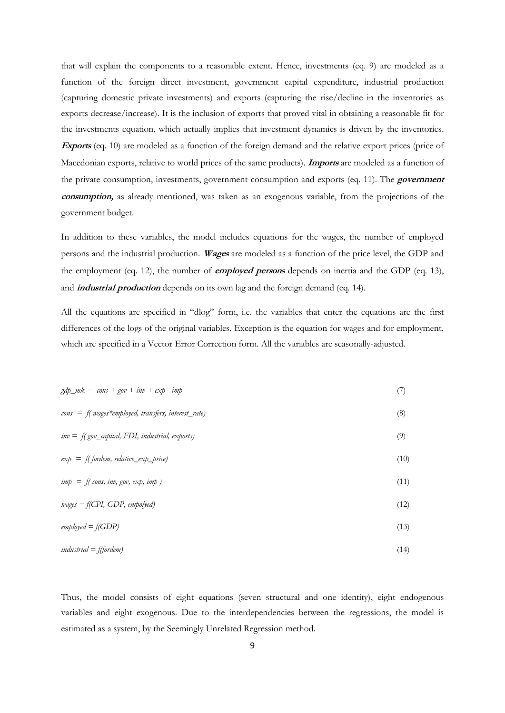that will explain the components to a reasonable extent. Hence, investments (eq. 9) are modeled as a function of the foreign direct investment, government capital expenditure, industrial production (capturing domestic private investments) and exports (capturing the rise/decline in the inventories as exports decrease/increase). It is the inclusion of exports that proved vital in obtaining a reasonable fit for the investments equation, which actually implies that investment dynamics is driven by the inventories. **Exports** (eq. 10) are modeled as a function of the foreign demand and the relative export prices (price of Macedonian exports, relative to world prices of the same products). **Imports** are modeled as a function of the private consumption, investments, government consumption and exports (eq. 11). The **government consumption,** as already mentioned, was taken as an exogenous variable, from the projections of the government budget.

In addition to these variables, the model includes equations for the wages, the number of employed persons and the industrial production. **Wages** are modeled as a function of the price level, the GDP and the employment (eq. 12), the number of **employed persons** depends on inertia and the GDP (eq. 13), and **industrial production** depends on its own lag and the foreign demand (eq. 14).

All the equations are specified in "dlog" form, i.e. the variables that enter the equations are the first differences of the logs of the original variables. Exception is the equation for wages and for employment, which are specified in a Vector Error Correction form. All the variables are seasonally-adjusted.

| $gdp_m k = const + gov + inv + exp - imp$                                 | (7)  |
|---------------------------------------------------------------------------|------|
| $cons = f(wages * employees, transfers, interest_rate)$                   | (8)  |
| $inv = f(gov\_capital, FDI, industrial, exports)$                         | (9)  |
| $exp = f(fordem, relative\_exp\_price)$                                   | (10) |
| $\lim p = f(\text{cons}, \text{inv}, \text{gov}, \text{exp}, \text{imp})$ | (11) |
| $wages = f(CPI, GDP, employed)$                                           | (12) |
| $emploved = f(GDP)$                                                       | (13) |
| $industrial = f(fordem)$                                                  | (14) |

Thus, the model consists of eight equations (seven structural and one identity), eight endogenous variables and eight exogenous. Due to the interdependencies between the regressions, the model is estimated as a system, by the Seemingly Unrelated Regression method.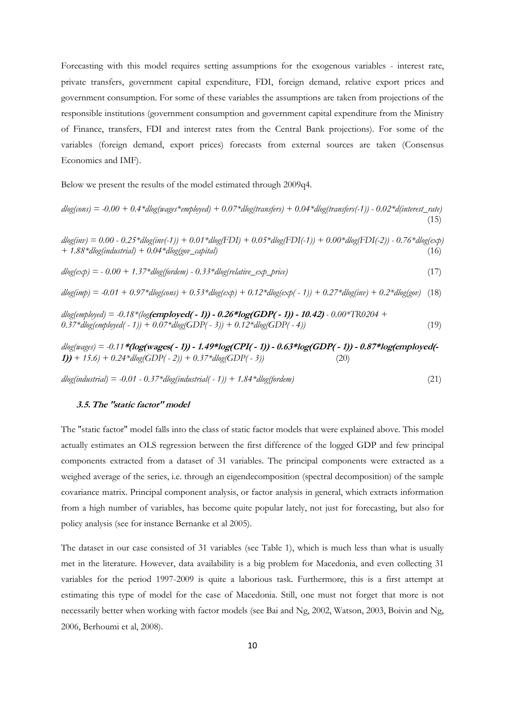Forecasting with this model requires setting assumptions for the exogenous variables - interest rate, private transfers, government capital expenditure, FDI, foreign demand, relative export prices and government consumption. For some of these variables the assumptions are taken from projections of the responsible institutions (government consumption and government capital expenditure from the Ministry of Finance, transfers, FDI and interest rates from the Central Bank projections). For some of the variables (foreign demand, export prices) forecasts from external sources are taken (Consensus Economics and IMF).

Below we present the results of the model estimated through 2009q4.

 $dlog(const) = -0.00 + 0.4*dlog(wages*embolved) + 0.07*dlog(transfers) + 0.04*dlog(transfers(-1)) - 0.02*d(interest_rate)$  $(15)$ 

*dlog(inv) = 0.00 - 0.25\*dlog(inv(-1)) + 0.01\*dlog(FDI) + 0.05\*dlog(FDI(-1)) + 0.00\*dlog(FDI(-2)) - 0.76\*dlog(exp) + 1.88\*dlog(industrial) + 0.04\*dlog(gov\_capital)* (16)

 $dlog(exp) = -0.00 + 1.37 * dlog(fordem) - 0.33 * dlog(relative\_exp\_price)$  (17)

 $dlog(imt) = -0.01 + 0.97 * dlog(cos) + 0.53 * dlog(ext) + 0.12 * dlog(ext) - 1) + 0.27 * dlog(iny) + 0.2 * dlog(gov)$  (18)

*dlog(employed) = -0.18\*(log***(employed( - 1)) - 0.26\*log(GDP( - 1)) - 10.42)** *- 0.00\*TR0204 +*   $0.37*dlog(emploved(-1)) + 0.07*dlog(GDP(-3)) + 0.12*dlog(GDP(-4))$  (19)

*dlog(wages) = -0.11***\*(log(wages( - 1)) - 1.49\*log(CPI( - 1)) - 0.63\*log(GDP( - 1)) - 0.87\*log(employed(- 1))** + 15.6) +  $0.24 * d \log(GDP(-2))$  +  $0.37 * d \log(GDP(-3))$  (20)

*dlog(industrial) = -0.01 - 0.37\*dlog(industrial( - 1)) + 1.84\*dlog(fordem)* (21)

#### **3.5.The "static factor" model**

The "static factor" model falls into the class of static factor models that were explained above. This model actually estimates an OLS regression between the first difference of the logged GDP and few principal components extracted from a dataset of 31 variables. The principal components were extracted as a weighed average of the series, i.e. through an eigendecomposition (spectral decomposition) of the sample covariance matrix. Principal component analysis, or factor analysis in general, which extracts information from a high number of variables, has become quite popular lately, not just for forecasting, but also for policy analysis (see for instance Bernanke et al 2005).

The dataset in our case consisted of 31 variables (see Table 1), which is much less than what is usually met in the literature. However, data availability is a big problem for Macedonia, and even collecting 31 variables for the period 1997-2009 is quite a laborious task. Furthermore, this is a first attempt at estimating this type of model for the case of Macedonia. Still, one must not forget that more is not necessarily better when working with factor models (see Bai and Ng, 2002, Watson, 2003, Boivin and Ng, 2006, Berhoumi et al, 2008).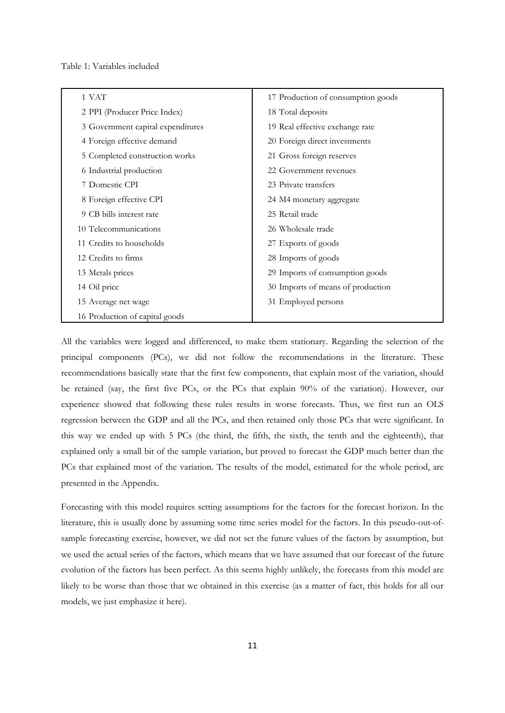Table 1: Variables included

| 1 VAT                             | 17 Production of consumption goods |  |  |
|-----------------------------------|------------------------------------|--|--|
| 2 PPI (Producer Price Index)      | 18 Total deposits                  |  |  |
| 3 Government capital expenditures | 19 Real effective exchange rate    |  |  |
| 4 Foreign effective demand        | 20 Foreign direct investments      |  |  |
| 5 Completed construction works    | 21 Gross foreign reserves          |  |  |
| 6 Industrial production           | 22 Government revenues             |  |  |
| 7 Domestic CPI                    | 23 Private transfers               |  |  |
| 8 Foreign effective CPI           | 24 M4 monetary aggregate           |  |  |
| 9 CB bills interest rate          | 25 Retail trade                    |  |  |
| 10 Telecommunications             | 26 Wholesale trade                 |  |  |
| 11 Credits to households          | 27 Exports of goods                |  |  |
| 12 Credits to firms               | 28 Imports of goods                |  |  |
| 13 Metals prices                  | 29 Imports of consumption goods    |  |  |
| 14 Oil price                      | 30 Imports of means of production  |  |  |
| 15 Average net wage               | 31 Employed persons                |  |  |
| 16 Production of capital goods    |                                    |  |  |

All the variables were logged and differenced, to make them stationary. Regarding the selection of the principal components (PCs), we did not follow the recommendations in the literature. These recommendations basically state that the first few components, that explain most of the variation, should be retained (say, the first five PCs, or the PCs that explain 90% of the variation). However, our experience showed that following these rules results in worse forecasts. Thus, we first run an OLS regression between the GDP and all the PCs, and then retained only those PCs that were significant. In this way we ended up with 5 PCs (the third, the fifth, the sixth, the tenth and the eighteenth), that explained only a small bit of the sample variation, but proved to forecast the GDP much better than the PCs that explained most of the variation. The results of the model, estimated for the whole period, are presented in the Appendix.

Forecasting with this model requires setting assumptions for the factors for the forecast horizon. In the literature, this is usually done by assuming some time series model for the factors. In this pseudo-out-ofsample forecasting exercise, however, we did not set the future values of the factors by assumption, but we used the actual series of the factors, which means that we have assumed that our forecast of the future evolution of the factors has been perfect. As this seems highly unlikely, the forecasts from this model are likely to be worse than those that we obtained in this exercise (as a matter of fact, this holds for all our models, we just emphasize it here).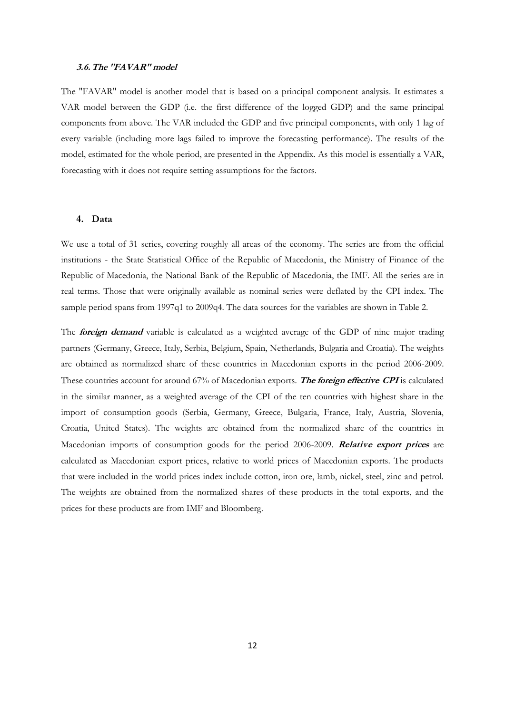#### **3.6.The "FAVAR" model**

The "FAVAR" model is another model that is based on a principal component analysis. It estimates a VAR model between the GDP (i.e. the first difference of the logged GDP) and the same principal components from above. The VAR included the GDP and five principal components, with only 1 lag of every variable (including more lags failed to improve the forecasting performance). The results of the model, estimated for the whole period, are presented in the Appendix. As this model is essentially a VAR, forecasting with it does not require setting assumptions for the factors.

#### **4. Data**

We use a total of 31 series, covering roughly all areas of the economy. The series are from the official institutions - the State Statistical Office of the Republic of Macedonia, the Ministry of Finance of the Republic of Macedonia, the National Bank of the Republic of Macedonia, the IMF. All the series are in real terms. Those that were originally available as nominal series were deflated by the CPI index. The sample period spans from 1997q1 to 2009q4. The data sources for the variables are shown in Table 2.

The **foreign demand** variable is calculated as a weighted average of the GDP of nine major trading partners (Germany, Greece, Italy, Serbia, Belgium, Spain, Netherlands, Bulgaria and Croatia). The weights are obtained as normalized share of these countries in Macedonian exports in the period 2006-2009. These countries account for around 67% of Macedonian exports. **The foreign effective CPI** is calculated in the similar manner, as a weighted average of the CPI of the ten countries with highest share in the import of consumption goods (Serbia, Germany, Greece, Bulgaria, France, Italy, Austria, Slovenia, Croatia, United States). The weights are obtained from the normalized share of the countries in Macedonian imports of consumption goods for the period 2006-2009. **Relative export prices** are calculated as Macedonian export prices, relative to world prices of Macedonian exports. The products that were included in the world prices index include cotton, iron ore, lamb, nickel, steel, zinc and petrol. The weights are obtained from the normalized shares of these products in the total exports, and the prices for these products are from IMF and Bloomberg.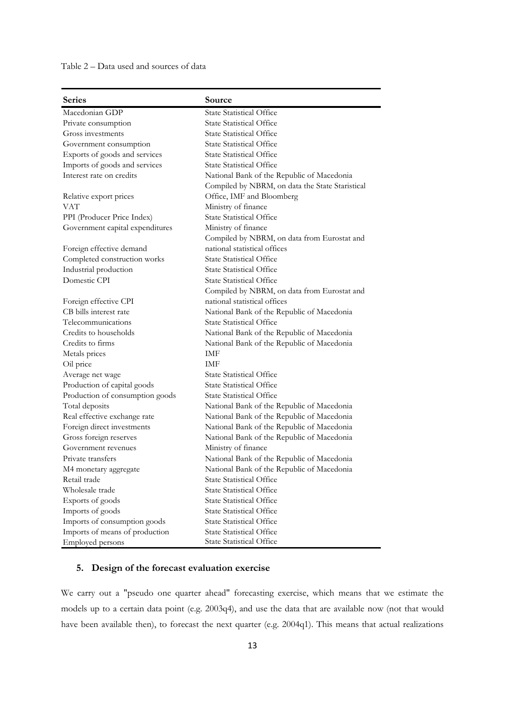Table 2 – Data used and sources of data

| <b>Series</b>                   | Source                                          |
|---------------------------------|-------------------------------------------------|
| Macedonian GDP                  | <b>State Statistical Office</b>                 |
| Private consumption             | <b>State Statistical Office</b>                 |
| Gross investments               | <b>State Statistical Office</b>                 |
| Government consumption          | <b>State Statistical Office</b>                 |
| Exports of goods and services   | <b>State Statistical Office</b>                 |
| Imports of goods and services   | <b>State Statistical Office</b>                 |
| Interest rate on credits        | National Bank of the Republic of Macedonia      |
|                                 | Compiled by NBRM, on data the State Staristical |
| Relative export prices          | Office, IMF and Bloomberg                       |
| VAT                             | Ministry of finance                             |
| PPI (Producer Price Index)      | <b>State Statistical Office</b>                 |
| Government capital expenditures | Ministry of finance                             |
|                                 | Compiled by NBRM, on data from Eurostat and     |
| Foreign effective demand        | national statistical offices                    |
| Completed construction works    | <b>State Statistical Office</b>                 |
| Industrial production           | <b>State Statistical Office</b>                 |
| Domestic CPI                    | <b>State Statistical Office</b>                 |
|                                 | Compiled by NBRM, on data from Eurostat and     |
| Foreign effective CPI           | national statistical offices                    |
| CB bills interest rate          | National Bank of the Republic of Macedonia      |
| Telecommunications              | <b>State Statistical Office</b>                 |
| Credits to households           | National Bank of the Republic of Macedonia      |
| Credits to firms                | National Bank of the Republic of Macedonia      |
| Metals prices                   | IMF                                             |
| Oil price                       | <b>IMF</b>                                      |
| Average net wage                | <b>State Statistical Office</b>                 |
| Production of capital goods     | <b>State Statistical Office</b>                 |
| Production of consumption goods | <b>State Statistical Office</b>                 |
| Total deposits                  | National Bank of the Republic of Macedonia      |
| Real effective exchange rate    | National Bank of the Republic of Macedonia      |
| Foreign direct investments      | National Bank of the Republic of Macedonia      |
| Gross foreign reserves          | National Bank of the Republic of Macedonia      |
| Government revenues             | Ministry of finance                             |
| Private transfers               | National Bank of the Republic of Macedonia      |
| M4 monetary aggregate           | National Bank of the Republic of Macedonia      |
| Retail trade                    | <b>State Statistical Office</b>                 |
| Wholesale trade                 | <b>State Statistical Office</b>                 |
| Exports of goods                | <b>State Statistical Office</b>                 |
| Imports of goods                | <b>State Statistical Office</b>                 |
| Imports of consumption goods    | <b>State Statistical Office</b>                 |
| Imports of means of production  | <b>State Statistical Office</b>                 |
| <b>Employed</b> persons         | <b>State Statistical Office</b>                 |

#### **5. Design of the forecast evaluation exercise**

We carry out a "pseudo one quarter ahead" forecasting exercise, which means that we estimate the models up to a certain data point (e.g. 2003q4), and use the data that are available now (not that would have been available then), to forecast the next quarter (e.g. 2004q1). This means that actual realizations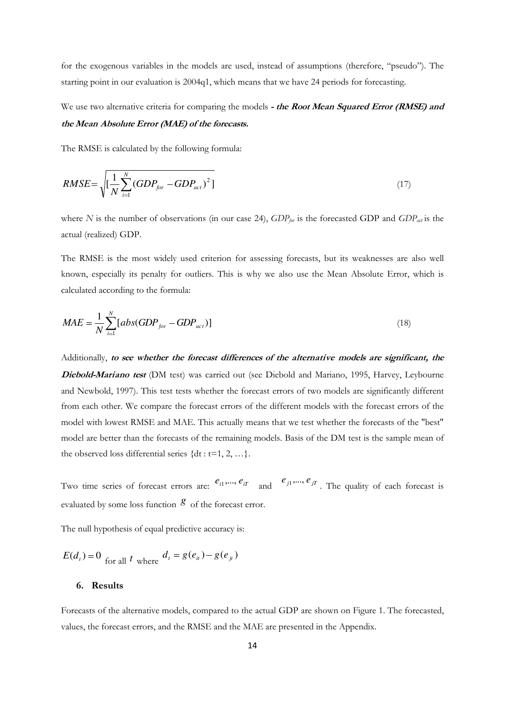for the exogenous variables in the models are used, instead of assumptions (therefore, "pseudo"). The starting point in our evaluation is 2004q1, which means that we have 24 periods for forecasting.

## We use two alternative criteria for comparing the models **- the Root Mean Squared Error (RMSE) and the Mean Absolute Error (MAE) of the forecasts.**

The RMSE is calculated by the following formula:

$$
RMSE = \sqrt{\left[\frac{1}{N} \sum_{i=1}^{N} (GDP_{for} - GDP_{act})^{2}\right]}
$$
 (17)

where *N* is the number of observations (in our case 24), *GDP<sub>for</sub>* is the forecasted GDP and *GDP<sub>act</sub>* is the actual (realized) GDP.

The RMSE is the most widely used criterion for assessing forecasts, but its weaknesses are also well known, especially its penalty for outliers. This is why we also use the Mean Absolute Error, which is calculated according to the formula:

$$
MAE = \frac{1}{N} \sum_{i=1}^{N} [abs(GDP_{for} - GDP_{act})]
$$
\n(18)

Additionally, **to see whether the forecast differences of the alternative models are significant, the Diebold-Mariano test** (DM test) was carried out (see Diebold and Mariano, 1995, Harvey, Leybourne and Newbold, 1997). This test tests whether the forecast errors of two models are significantly different from each other. We compare the forecast errors of the different models with the forecast errors of the model with lowest RMSE and MAE. This actually means that we test whether the forecasts of the "best" model are better than the forecasts of the remaining models. Basis of the DM test is the sample mean of the observed loss differential series  $\{dt : t=1, 2, ...\}$ .

Two time series of forecast errors are:  $e_{i1}$ ,...,  $e_{iT}$  and  $e_{j1}$ ,...,  $e_{jT}$ . The quality of each forecast is evaluated by some loss function  $g$  of the forecast error.

The null hypothesis of equal predictive accuracy is:

 $E(d_t) = 0$  for all *t* where  $d_t = g(e_{it}) - g(e_{jt})$ 

#### **6. Results**

Forecasts of the alternative models, compared to the actual GDP are shown on Figure 1. The forecasted, values, the forecast errors, and the RMSE and the MAE are presented in the Appendix.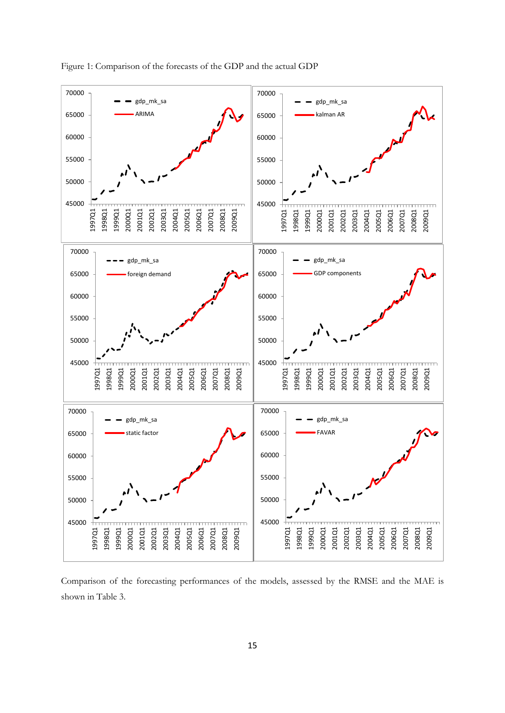

Figure 1: Comparison of the forecasts of the GDP and the actual GDP

Comparison of the forecasting performances of the models, assessed by the RMSE and the MAE is shown in Table 3.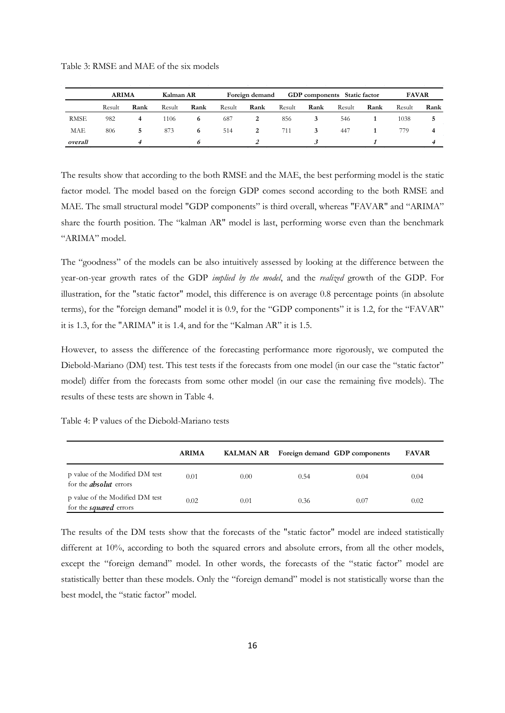|             | <b>ARIMA</b> |      | Kalman AR |      |        | Foreign demand |        |      | <b>GDP</b> components Static factor |      | <b>FAVAR</b> |      |
|-------------|--------------|------|-----------|------|--------|----------------|--------|------|-------------------------------------|------|--------------|------|
|             | Result       | Rank | Result    | Rank | Result | Rank           | Result | Rank | Result                              | Rank | Result       | Rank |
| <b>RMSE</b> | 982          |      | 1106      | 6    | 687    |                | 856    |      | 546                                 |      | 1038         |      |
| MAE         | 806          |      | 873       | 6    | 514    | 2              | 711    |      | 447                                 |      | 779.         | 4    |
| overall     |              |      |           | b    |        |                |        |      |                                     |      |              |      |

Table 3: RMSE and MAE of the six models

The results show that according to the both RMSE and the MAE, the best performing model is the static factor model. The model based on the foreign GDP comes second according to the both RMSE and MAE. The small structural model "GDP components" is third overall, whereas "FAVAR" and "ARIMA" share the fourth position. The "kalman AR" model is last, performing worse even than the benchmark "ARIMA" model.

The "goodness" of the models can be also intuitively assessed by looking at the difference between the year-on-year growth rates of the GDP *implied by the model*, and the *realized* growth of the GDP. For illustration, for the "static factor" model, this difference is on average 0.8 percentage points (in absolute terms), for the "foreign demand" model it is 0.9, for the "GDP components" it is 1.2, for the "FAVAR" it is 1.3, for the "ARIMA" it is 1.4, and for the "Kalman AR" it is 1.5.

However, to assess the difference of the forecasting performance more rigorously, we computed the Diebold-Mariano (DM) test. This test tests if the forecasts from one model (in our case the "static factor" model) differ from the forecasts from some other model (in our case the remaining five models). The results of these tests are shown in Table 4.

Table 4: P values of the Diebold-Mariano tests

|                                                                  | <b>ARIMA</b> |      |      | KALMAN AR Foreign demand GDP components | <b>FAVAR</b> |
|------------------------------------------------------------------|--------------|------|------|-----------------------------------------|--------------|
| p value of the Modified DM test<br>for the <i>absolut</i> errors | 0.01         | 0.00 | 0.54 | 0.04                                    | 0.04         |
| p value of the Modified DM test<br>for the <i>squared</i> errors | 0.02         | 0.01 | 0.36 | 0.07                                    | 0.02         |

The results of the DM tests show that the forecasts of the "static factor" model are indeed statistically different at 10%, according to both the squared errors and absolute errors, from all the other models, except the "foreign demand" model. In other words, the forecasts of the "static factor" model are statistically better than these models. Only the "foreign demand" model is not statistically worse than the best model, the "static factor" model.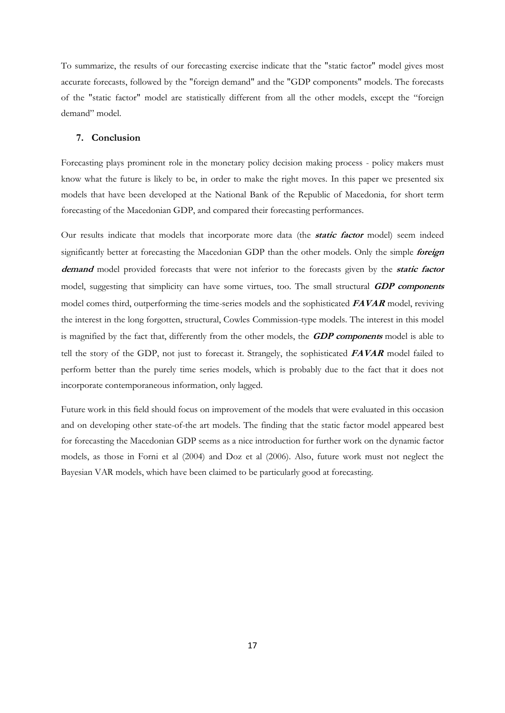To summarize, the results of our forecasting exercise indicate that the "static factor" model gives most accurate forecasts, followed by the "foreign demand" and the "GDP components" models. The forecasts of the "static factor" model are statistically different from all the other models, except the "foreign demand" model.

#### **7. Conclusion**

Forecasting plays prominent role in the monetary policy decision making process - policy makers must know what the future is likely to be, in order to make the right moves. In this paper we presented six models that have been developed at the National Bank of the Republic of Macedonia, for short term forecasting of the Macedonian GDP, and compared their forecasting performances.

Our results indicate that models that incorporate more data (the **static factor** model) seem indeed significantly better at forecasting the Macedonian GDP than the other models. Only the simple **foreign demand** model provided forecasts that were not inferior to the forecasts given by the **static factor**  model, suggesting that simplicity can have some virtues, too. The small structural **GDP components**  model comes third, outperforming the time-series models and the sophisticated **FAVAR** model, reviving the interest in the long forgotten, structural, Cowles Commission-type models. The interest in this model is magnified by the fact that, differently from the other models, the **GDP components** model is able to tell the story of the GDP, not just to forecast it. Strangely, the sophisticated **FAVAR** model failed to perform better than the purely time series models, which is probably due to the fact that it does not incorporate contemporaneous information, only lagged.

Future work in this field should focus on improvement of the models that were evaluated in this occasion and on developing other state-of-the art models. The finding that the static factor model appeared best for forecasting the Macedonian GDP seems as a nice introduction for further work on the dynamic factor models, as those in Forni et al (2004) and Doz et al (2006). Also, future work must not neglect the Bayesian VAR models, which have been claimed to be particularly good at forecasting.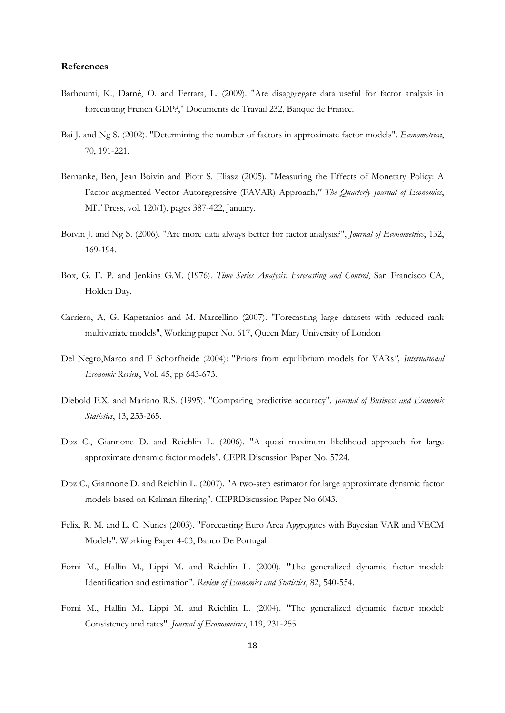#### **References**

- Barhoumi, K., Darné, O. and Ferrara, L. (2009). ["Are disaggregate data useful for factor analysis in](http://ideas.repec.org/p/bfr/banfra/232.html)  [forecasting French GDP?,](http://ideas.repec.org/p/bfr/banfra/232.html)[" Documents de Travail](http://ideas.repec.org/s/bfr/banfra.html) 232, Banque de France.
- Bai J. and Ng S. (2002). "Determining the number of factors in approximate factor models". *Econometrica*, 70, 191-221.
- Bernanke, Ben, Jean Boivin and Piotr S. Eliasz (2005). ["Measuring the Effects of Monetary Policy: A](http://ideas.repec.org/a/tpr/qjecon/v120y2005i1p387-422.html)  [Factor-augmented Vector Autoregressive \(FAVAR\) Approach](http://ideas.repec.org/a/tpr/qjecon/v120y2005i1p387-422.html)*," [The Quarterly Journal of Economics](http://ideas.repec.org/s/tpr/qjecon.html)*, MIT Press, vol. 120(1), pages 387-422, January.
- Boivin J. and Ng S. (2006). "Are more data always better for factor analysis?", *Journal of Econometrics*, 132, 169-194.
- Box, G. E. P. and Jenkins G.M. (1976). *Time Series Analysis: Forecasting and Control*, San Francisco CA, Holden Day.
- Carriero, A, G. Kapetanios and M. Marcellino (2007). "Forecasting large datasets with reduced rank multivariate models", Working paper No. 617, Queen Mary University of London
- Del Negro,Marco and F Schorfheide (2004): "Priors from equilibrium models for VARs*", International Economic Review*, Vol. 45, pp 643-673.
- Diebold F.X. and Mariano R.S. (1995). "Comparing predictive accuracy". *Journal of Business and Economic Statistics*, 13, 253-265.
- Doz C., Giannone D. and Reichlin L. (2006). "A quasi maximum likelihood approach for large approximate dynamic factor models". CEPR Discussion Paper No. 5724.
- Doz C., Giannone D. and Reichlin L. (2007). "A two-step estimator for large approximate dynamic factor models based on Kalman filtering". CEPRDiscussion Paper No 6043.
- Felix, R. M. and L. C. Nunes (2003). "Forecasting Euro Area Aggregates with Bayesian VAR and VECM Models". Working Paper 4-03, Banco De Portugal
- Forni M., Hallin M., Lippi M. and Reichlin L. (2000). "The generalized dynamic factor model: Identification and estimation". *Review of Economics and Statistics*, 82, 540-554.
- Forni M., Hallin M., Lippi M. and Reichlin L. (2004). "The generalized dynamic factor model: Consistency and rates". *Journal of Econometrics*, 119, 231-255.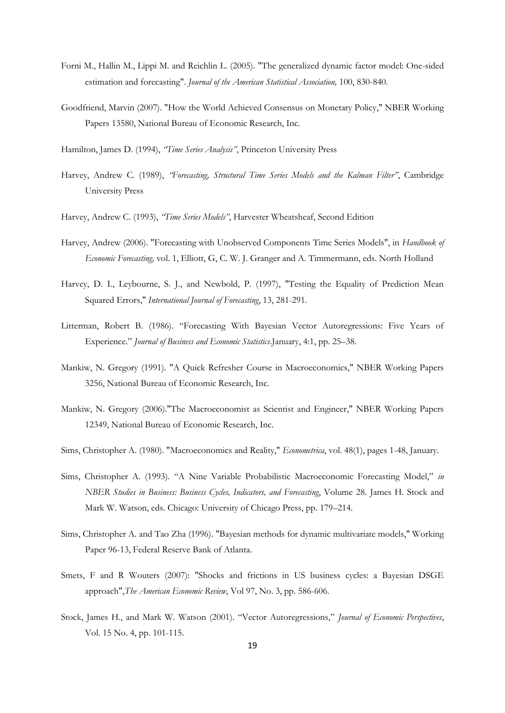- Forni M., Hallin M., Lippi M. and Reichlin L. (2005). "The generalized dynamic factor model: One-sided estimation and forecasting". *Journal of the American Statistical Association,* 100, 830-840.
- Goodfriend, Marvin (2007). ["How the World Achieved Consensus on Monetary Policy,](http://ideas.repec.org/p/nbr/nberwo/13580.html)" [NBER Working](http://ideas.repec.org/s/nbr/nberwo.html)  [Papers](http://ideas.repec.org/s/nbr/nberwo.html) 13580, National Bureau of Economic Research, Inc.
- Hamilton, James D. (1994), *"Time Series Analysis"*, Princeton University Press
- Harvey, Andrew C. (1989), *"Forecasting, Structural Time Series Models and the Kalman Filter"*, Cambridge University Press
- Harvey, Andrew C. (1993), *"Time Series Models"*, Harvester Wheatsheaf, Second Edition
- Harvey, Andrew (2006). "Forecasting with Unobserved Components Time Series Models", in *Handbook of Economic Forecasting,* vol. 1, Elliott, G, C. W. J. Granger and A. Timmermann, eds. North Holland
- Harvey, D. I., Leybourne, S. J., and Newbold, P. (1997), "Testing the Equality of Prediction Mean Squared Errors," *International Journal of Forecasting*, 13, 281-291.
- Litterman, Robert B. (1986). "Forecasting With Bayesian Vector Autoregressions: Five Years of Experience*.*" *Journal of Business and Economic Statistics*.January, 4:1, pp. 25–38.
- Mankiw, N. Gregory (1991). ["A Quick Refresher Course in Macroeconomics,](http://ideas.repec.org/p/nbr/nberwo/3256.html)" [NBER Working Papers](http://ideas.repec.org/s/nbr/nberwo.html)  3256, National Bureau of Economic Research, Inc.
- Mankiw, N. Gregory (2006)."The Macroeconomist as Scientist and Engineer," [NBER Working Papers](http://ideas.repec.org/s/nbr/nberwo.html) 12349, National Bureau of Economic Research, Inc.
- Sims, Christopher A. (1980). ["Macroeconomics and Reality,](http://ideas.repec.org/a/ecm/emetrp/v48y1980i1p1-48.html)" *[Econometrica](http://ideas.repec.org/s/ecm/emetrp.html)*, vol. 48(1), pages 1-48, January.
- Sims, Christopher A. (1993). "A Nine Variable Probabilistic Macroeconomic Forecasting Model," *in NBER Studies in Business: Business Cycles, Indicators, and Forecasting*, Volume 28. James H. Stock and Mark W. Watson, eds. Chicago: University of Chicago Press, pp. 179–214.
- Sims, Christopher A. and Tao Zha (1996). ["Bayesian methods for dynamic multivariate models,](http://ideas.repec.org/p/fip/fedawp/96-13.html)" [Working](http://ideas.repec.org/s/fip/fedawp.html)  [Paper](http://ideas.repec.org/s/fip/fedawp.html) 96-13, Federal Reserve Bank of Atlanta.
- Smets, F and R Wouters (2007): "Shocks and frictions in US business cycles: a Bayesian DSGE approach",*The American Economic Review*, Vol 97, No. 3, pp. 586-606.
- Stock, James H., and Mark W. Watson (2001). "Vector Autoregressions," *Journal of Economic Perspectives*, Vol. 15 No. 4, pp. 101-115.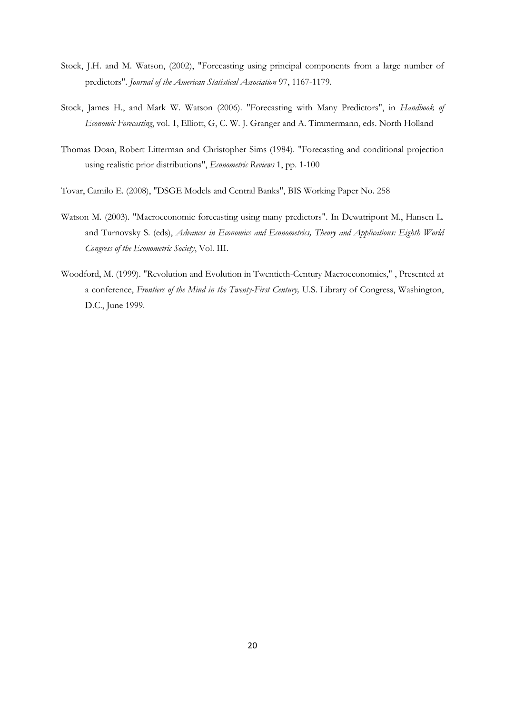- Stock, J.H. and M. Watson, (2002), "Forecasting using principal components from a large number of predictors". *Journal of the American Statistical Association* 97, 1167-1179.
- Stock, James H., and Mark W. Watson (2006). "Forecasting with Many Predictors", in *Handbook of Economic Forecasting*, vol. 1, Elliott, G, C. W. J. Granger and A. Timmermann, eds. North Holland
- Thomas Doan, Robert Litterman and Christopher Sims (1984). "Forecasting and conditional projection using realistic prior distributions", *Econometric Reviews* 1, pp. 1-100
- Tovar, Camilo E. (2008), "DSGE Models and Central Banks", BIS Working Paper No. 258
- Watson M. (2003). "Macroeconomic forecasting using many predictors". In Dewatripont M., Hansen L. and Turnovsky S. (eds), *Advances in Economics and Econometrics, Theory and Applications: Eighth World Congress of the Econometric Society*, Vol. III.
- Woodford, M. (1999). ["Revolution and Evolution in Twentieth-Century Macroeconomics,"](http://www.columbia.edu/~mw2230/macro20C.pdf) , Presented at a conference, *Frontiers of the Mind in the Twenty-First Century,* U.S. Library of Congress, Washington, D.C., June 1999.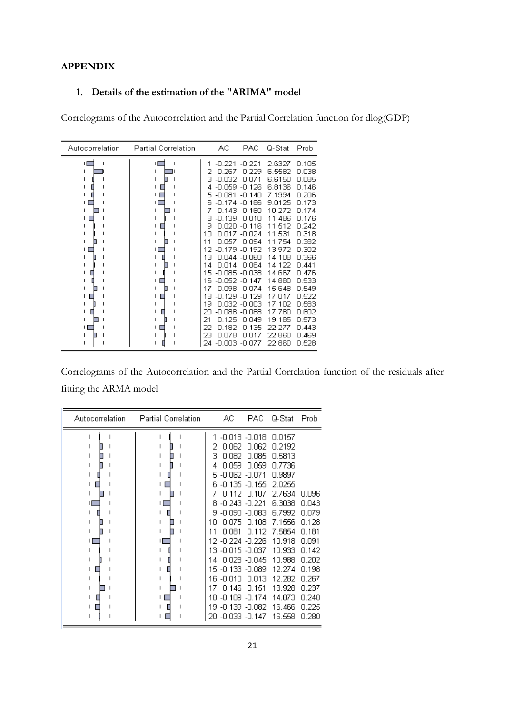#### **APPENDIX**

### **1. Details of the estimation of the "ARIMA" model**

Correlograms of the Autocorrelation and the Partial Correlation function for dlog(GDP)

| Autocorrelation | <b>Partial Correlation</b> | АC                                                                                                                                                                                                                                                                                                                   | <b>PAC</b>                                                                                                                                                                                                                | Q-Stat                                                                                                                                                                                                         | Prob                                                                                                                                                                                      |
|-----------------|----------------------------|----------------------------------------------------------------------------------------------------------------------------------------------------------------------------------------------------------------------------------------------------------------------------------------------------------------------|---------------------------------------------------------------------------------------------------------------------------------------------------------------------------------------------------------------------------|----------------------------------------------------------------------------------------------------------------------------------------------------------------------------------------------------------------|-------------------------------------------------------------------------------------------------------------------------------------------------------------------------------------------|
| Н               | ۱Г                         | 1<br>$-0.221$<br>0.267<br>-0.032<br>з<br>-0.059<br>4<br>$-0.081$<br>5<br>-0.174<br>6<br>0.143<br>-0.139<br>8<br>9<br>0.020<br>10<br>N N17<br>11<br>0.057<br>-0.179<br>12<br>13<br>O 044<br>0.014<br>14<br>-0.085.<br>15<br>-0.052<br>16<br>17<br>0.098<br>18<br>-0.129<br>19<br>0.032<br>-0.088<br>20<br>21<br>0.125 | $-0.221$<br>n.229<br>N N 71<br>$-0.126$<br>$-0.140$<br>$-0.186$<br>0.160<br>0.010<br>$-0.116$<br>-0.024<br>0.094<br>$-0.192$<br>$-0.060$<br>0.084<br>-0.038<br>$-0.147$<br>በ በ74<br>$-0.129$<br>-0.003<br>-0.088<br>0.049 | 2.6327<br>6.5582<br>6.6150<br>6.8136<br>7.1994<br>9.0125<br>10.272<br>11.486<br>11.512<br>11.531<br>11.754<br>13.972<br>14.108<br>14.122<br>14.667<br>14.880<br>15.648<br>17.017<br>17.102<br>17.780<br>19.185 | 0.105<br>0.038<br>0.085<br>0.146<br>0.206<br>0.173<br>0.174<br>0.176<br>0.242<br>0.318<br>0.382<br>0.302<br>0.366<br>0.441<br>0.476<br>0.533<br>0.549<br>0.522<br>0.583<br>0.602<br>0.573 |
|                 |                            | 22<br>-0.182<br>23<br>0.078<br>$-0.003$<br>24                                                                                                                                                                                                                                                                        | -0.135<br>0.017<br>-0.077                                                                                                                                                                                                 | 22.277<br>22.860<br>22.860                                                                                                                                                                                     | 0.443<br>0.469<br>0.528                                                                                                                                                                   |

Correlograms of the Autocorrelation and the Partial Correlation function of the residuals after fitting the ARMA model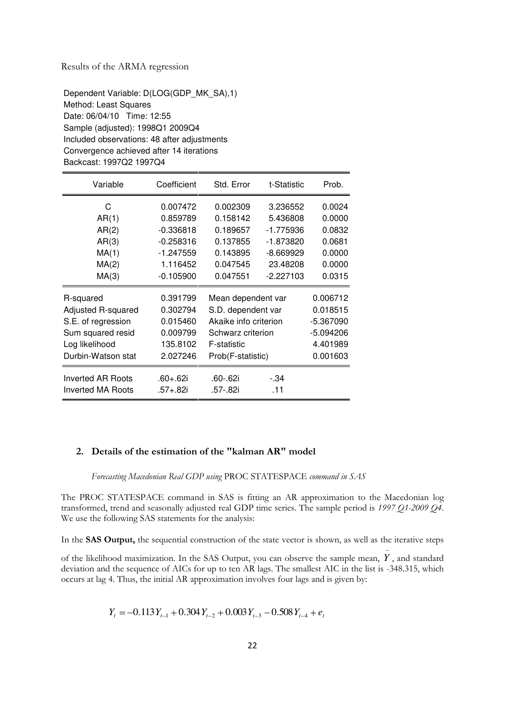#### Results of the ARMA regression

Dependent Variable: D(LOG(GDP\_MK\_SA),1) Method: Least Squares Date: 06/04/10 Time: 12:55 Sample (adjusted): 1998Q1 2009Q4 Included observations: 48 after adjustments Convergence achieved after 14 iterations Backcast: 1997Q2 1997Q4

| Variable           | Coefficient | Std. Error            | t-Statistic | Prob.     |
|--------------------|-------------|-----------------------|-------------|-----------|
| C                  | 0.007472    | 0.002309              | 3.236552    | 0.0024    |
| AR(1)              | 0.859789    | 0.158142              | 5.436808    | 0.0000    |
| AR(2)              | $-0.336818$ | 0.189657              | -1.775936   | 0.0832    |
| AR(3)              | $-0.258316$ | 0.137855              | -1.873820   | 0.0681    |
| MA(1)              | -1.247559   | 0.143895              | -8.669929   | 0.0000    |
| MA(2)              | 1.116452    | 0.047545              | 23.48208    | 0.0000    |
| MA(3)              | $-0.105900$ | 0.047551              | -2.227103   | 0.0315    |
| R-squared          | 0.391799    | Mean dependent var    |             | 0.006712  |
| Adjusted R-squared | 0.302794    | S.D. dependent var    |             | 0.018515  |
| S.E. of regression | 0.015460    | Akaike info criterion |             | -5.367090 |
| Sum squared resid  | 0.009799    | Schwarz criterion     |             | -5.094206 |
| Log likelihood     | 135.8102    | F-statistic           |             | 4.401989  |
| Durbin-Watson stat | 2.027246    | Prob(F-statistic)     |             | 0.001603  |
| Inverted AR Roots  | .60+.62i    | .60-.62i              | - 34        |           |
| Inverted MA Roots  | .57+.82i    | .57-.82i              | .11         |           |

#### **2. Details of the estimation of the "kalman AR" model**

 *Forecasting Macedonian Real GDP using* PROC STATESPACE *command in SAS* 

The PROC STATESPACE command in SAS is fitting an AR approximation to the Macedonian log transformed, trend and seasonally adjusted real GDP time series. The sample period is *1997 Q1-2009 Q4*. We use the following SAS statements for the analysis:

In the **SAS Output,** the sequential construction of the state vector is shown, as well as the iterative steps

of the likelihood maximization. In the SAS Output, you can observe the sample mean, *Y* , and standard deviation and the sequence of AICs for up to ten AR lags. The smallest AIC in the list is -348.315, which occurs at lag 4. Thus, the initial AR approximation involves four lags and is given by:

$$
Y_t = -0.113Y_{t-1} + 0.304Y_{t-2} + 0.003Y_{t-3} - 0.508Y_{t-4} + e_t
$$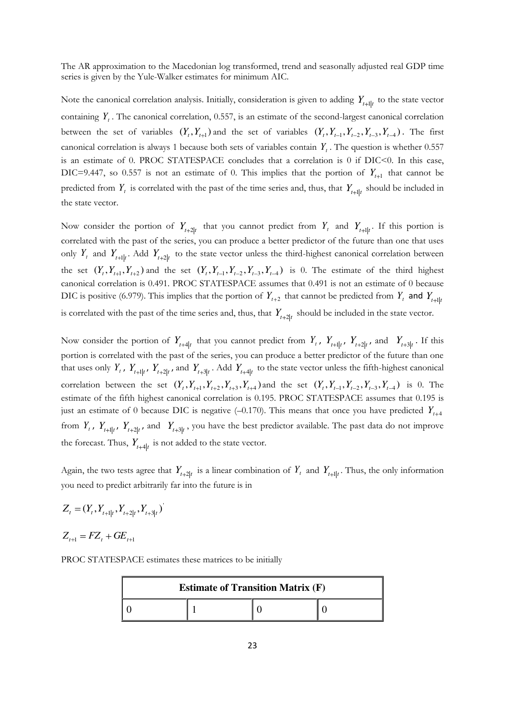The AR approximation to the Macedonian log transformed, trend and seasonally adjusted real GDP time series is given by the Yule-Walker estimates for minimum AIC.

Note the canonical correlation analysis. Initially, consideration is given to adding  $Y_{t+1|t}$  to the state vector containing  $Y_t$ . The canonical correlation, 0.557, is an estimate of the second-largest canonical correlation between the set of variables  $(Y_t, Y_{t+1})$  and the set of variables  $(Y_t, Y_{t-1}, Y_{t-2}, Y_{t-3}, Y_{t-4})$ . The first canonical correlation is always 1 because both sets of variables contain  $Y_t$ . The question is whether 0.557 is an estimate of 0. PROC STATESPACE concludes that a correlation is 0 if  $DIC<0$ . In this case, DIC=9.447, so 0.557 is not an estimate of 0. This implies that the portion of  $Y_{t+1}$  that cannot be predicted from  $Y_t$  is correlated with the past of the time series and, thus, that  $Y_{t+1|t}$  should be included in the state vector.

Now consider the portion of  $Y_{t+2|t}$  that you cannot predict from  $Y_t$  and  $Y_{t+1|t}$ . If this portion is correlated with the past of the series, you can produce a better predictor of the future than one that uses only  $Y_t$  and  $Y_{t+1|t}$ . Add  $Y_{t+2|t}$  to the state vector unless the third-highest canonical correlation between the set  $(Y_t, Y_{t+1}, Y_{t+2})$  and the set  $(Y_t, Y_{t-1}, Y_{t-2}, Y_{t-3}, Y_{t-4})$  is 0. The estimate of the third highest canonical correlation is 0.491. PROC STATESPACE assumes that 0.491 is not an estimate of 0 because DIC is positive (6.979). This implies that the portion of  $Y_{t+2}$  that cannot be predicted from  $Y_t$  and  $Y_{t+1|t}$ is correlated with the past of the time series and, thus, that  $Y_{t+2|t}$  should be included in the state vector.

Now consider the portion of  $Y_{t+4|t}$  that you cannot predict from  $Y_t$ ,  $Y_{t+1|t}$ ,  $Y_{t+2|t}$ , and  $Y_{t+3|t}$ . If this portion is correlated with the past of the series, you can produce a better predictor of the future than one that uses only  $Y_t$ ,  $Y_{t+1|t}$ ,  $Y_{t+2|t}$ , and  $Y_{t+3|t}$ . Add  $Y_{t+4|t}$  to the state vector unless the fifth-highest canonical correlation between the set  $(Y_t, Y_{t+1}, Y_{t+2}, Y_{t+3}, Y_{t+4})$  and the set  $(Y_t, Y_{t-1}, Y_{t-2}, Y_{t-3}, Y_{t-4})$  is 0. The estimate of the fifth highest canonical correlation is 0.195. PROC STATESPACE assumes that 0.195 is just an estimate of 0 because DIC is negative  $(-0.170)$ . This means that once you have predicted  $Y_{t+4}$ from  $Y_t$ ,  $Y_{t+1|t}$ ,  $Y_{t+2|t}$ , and  $Y_{t+3|t}$ , you have the best predictor available. The past data do not improve the forecast. Thus,  $Y_{t+4|t}$  is not added to the state vector.

Again, the two tests agree that  $Y_{t+2|t}$  is a linear combination of  $Y_t$  and  $Y_{t+1|t}$ . Thus, the only information you need to predict arbitrarily far into the future is in

$$
Z_t = (Y_t, Y_{t+1|t}, Y_{t+2|t}, Y_{t+3|t})
$$

 $Z_{t+1} = FZ_t + GE_{t+1}$ 

PROC STATESPACE estimates these matrices to be initially

'

| <b>Estimate of Transition Matrix (F)</b> |  |  |  |  |
|------------------------------------------|--|--|--|--|
|                                          |  |  |  |  |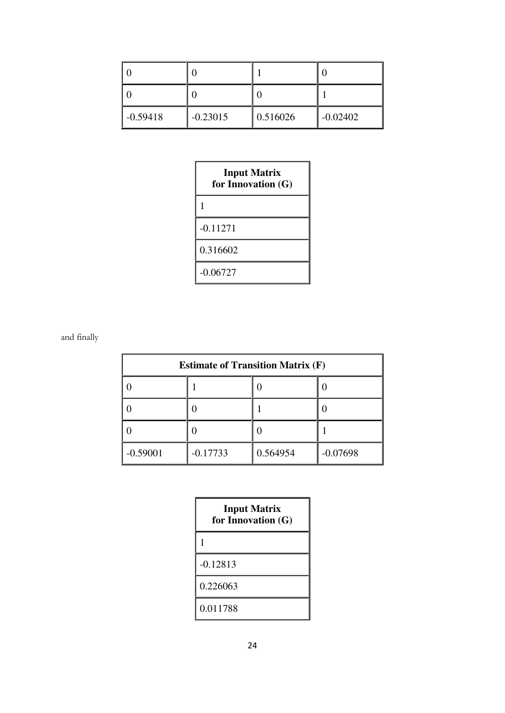| $-0.59418$ | $-0.23015$ | 0.516026 | $-0.02402$ |
|------------|------------|----------|------------|

| <b>Input Matrix</b><br>for Innovation (G) |  |  |  |  |
|-------------------------------------------|--|--|--|--|
| 1                                         |  |  |  |  |
| $-0.11271$                                |  |  |  |  |
| 0.316602                                  |  |  |  |  |
| $-0.06727$                                |  |  |  |  |

and finally

| <b>Estimate of Transition Matrix (F)</b> |            |          |            |  |  |  |
|------------------------------------------|------------|----------|------------|--|--|--|
|                                          |            |          |            |  |  |  |
|                                          |            |          |            |  |  |  |
|                                          |            |          |            |  |  |  |
| $-0.59001$                               | $-0.17733$ | 0.564954 | $-0.07698$ |  |  |  |

| <b>Input Matrix</b><br>for Innovation (G) |
|-------------------------------------------|
|                                           |
| $-0.12813$                                |
| 0.226063                                  |
| 0.011788                                  |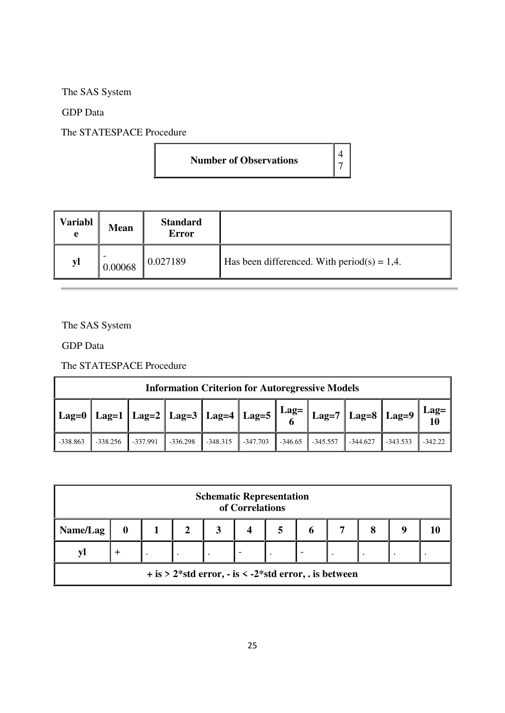The SAS System

GDP Data

The STATESPACE Procedure

| <b>Number of Observations</b> |  |
|-------------------------------|--|
|-------------------------------|--|

| <b>Variabl</b><br>e | <b>Mean</b> | <b>Standard</b><br><b>Error</b> |                                                |
|---------------------|-------------|---------------------------------|------------------------------------------------|
| yl                  | 0.00068     | 0.027189                        | Has been differenced. With period(s) = $1,4$ . |

The SAS System

GDP Data

The STATESPACE Procedure

| <b>Information Criterion for Autoregressive Models</b> |            |            |            |            |            |           |            |                |            |           |
|--------------------------------------------------------|------------|------------|------------|------------|------------|-----------|------------|----------------|------------|-----------|
| O                                                      |            |            |            |            |            |           |            | Lag=<br>  $10$ |            |           |
| $-338.863$                                             | $-338.256$ | $-337.991$ | $-336.298$ | $-348.315$ | $-347.703$ | $-346.65$ | $-345.557$ | $-344.627$     | $-343.533$ | $-342.22$ |

| <b>Schematic Representation</b><br>of Correlations      |  |  |  |  |  |  |  |  |  |
|---------------------------------------------------------|--|--|--|--|--|--|--|--|--|
| Name/Lag<br>8<br>$\mathbf o$<br>10                      |  |  |  |  |  |  |  |  |  |
| VI                                                      |  |  |  |  |  |  |  |  |  |
| $+$ is > 2*std error, - is < -2*std error, . is between |  |  |  |  |  |  |  |  |  |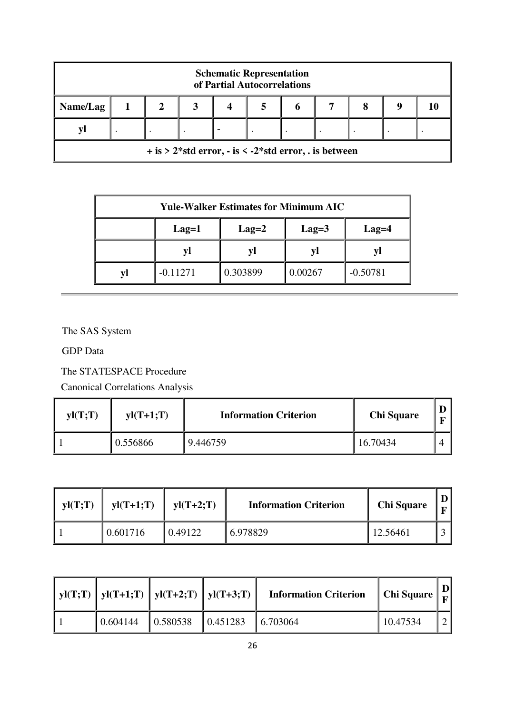| <b>Schematic Representation</b><br>of Partial Autocorrelations |                                                                      |  |  |  |  |  |  |  |  |
|----------------------------------------------------------------|----------------------------------------------------------------------|--|--|--|--|--|--|--|--|
| Name/Lag<br>8<br>O                                             |                                                                      |  |  |  |  |  |  |  |  |
| V                                                              |                                                                      |  |  |  |  |  |  |  |  |
|                                                                | $+$ is > 2*std error, $-$ is $\lt$ -2*std error, $\ldots$ is between |  |  |  |  |  |  |  |  |

| <b>Yule-Walker Estimates for Minimum AIC</b> |                                                 |  |    |  |  |  |  |
|----------------------------------------------|-------------------------------------------------|--|----|--|--|--|--|
|                                              | $Lag=3$<br>$Lag=2$<br>$Lag=1$<br>$Lag=4$        |  |    |  |  |  |  |
|                                              | VΙ                                              |  | V. |  |  |  |  |
|                                              | 0.303899<br>$-0.50781$<br>0.00267<br>$-0.11271$ |  |    |  |  |  |  |

The SAS System

GDP Data

The STATESPACE Procedure

Canonical Correlations Analysis

| yI(T;T) | $yI(T+1;T)$ | <b>Information Criterion</b> | <b>Chi Square</b> |  |
|---------|-------------|------------------------------|-------------------|--|
|         | 0.556866    | 9.446759                     | 16.70434          |  |

| yI(T;T) | $yl(T+1;T)$ | $vl(T+2;T)$ | <b>Information Criterion</b> | <b>Chi Square</b> |  |
|---------|-------------|-------------|------------------------------|-------------------|--|
|         | 0.601716    | 0.49122     | 6.978829                     | 12.56461          |  |

| yl(T;T)   yl(T+1;T)   yl(T+2;T)   yl(T+3;T) |                                       | <b>Information Criterion</b> | Chi Square $\mid$ $_{\rm F}$ $\mid$ | $\mathbf{D}$ |
|---------------------------------------------|---------------------------------------|------------------------------|-------------------------------------|--------------|
| 0.604144                                    | $\vert 0.580538 \vert 0.451283 \vert$ | $\vert 6.703064 \vert$       | 10.47534                            |              |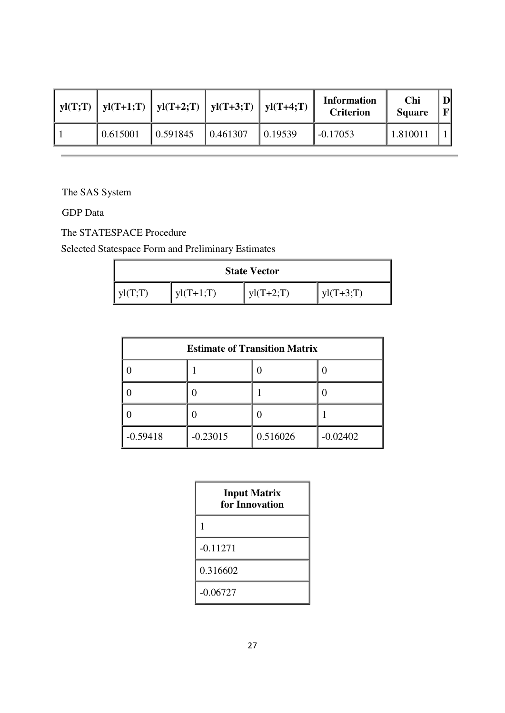|          |          | $yI(T;T)$   $yI(T+1;T)$   $yI(T+2;T)$   $yI(T+3;T)$   $yI(T+4;T)$ |         | <b>Information</b><br><b>Criterion</b> | Chi<br><b>Square</b> | FI |
|----------|----------|-------------------------------------------------------------------|---------|----------------------------------------|----------------------|----|
| 0.615001 | 0.591845 | 0.461307                                                          | 0.19539 | $-0.17053$                             | 1.81001              |    |

The SAS System

GDP Data

The STATESPACE Procedure

Selected Statespace Form and Preliminary Estimates

| <b>State Vector</b> |             |             |             |  |  |  |
|---------------------|-------------|-------------|-------------|--|--|--|
| $V1(T\cdot T)$      | $yI(T+1;T)$ | $vl(T+2:T)$ | $vl(T+3;T)$ |  |  |  |

| <b>Estimate of Transition Matrix</b> |            |          |            |  |  |
|--------------------------------------|------------|----------|------------|--|--|
|                                      |            |          |            |  |  |
|                                      |            |          |            |  |  |
|                                      |            |          |            |  |  |
| $-0.59418$                           | $-0.23015$ | 0.516026 | $-0.02402$ |  |  |

| <b>Input Matrix</b><br>for Innovation |
|---------------------------------------|
| 1                                     |
| $-0.11271$                            |
| 0.316602                              |
| $-0.06727$                            |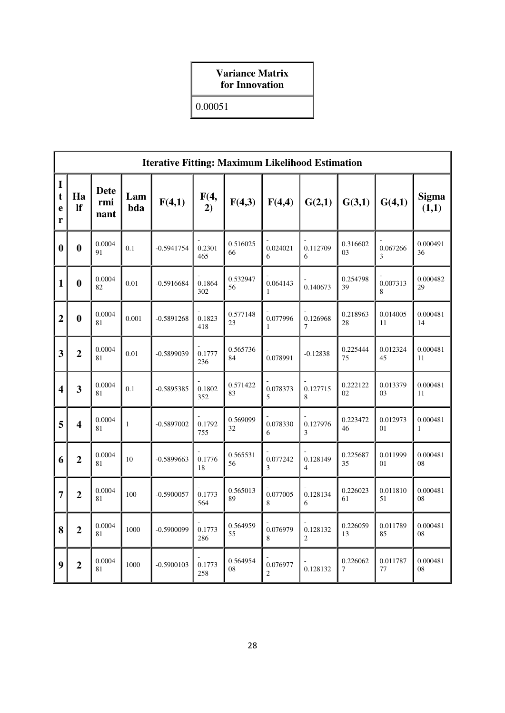## **Variance Matrix for Innovation**

0.00051

|                                      | <b>Iterative Fitting: Maximum Likelihood Estimation</b> |                            |              |              |               |                |                            |                            |                            |                |                       |
|--------------------------------------|---------------------------------------------------------|----------------------------|--------------|--------------|---------------|----------------|----------------------------|----------------------------|----------------------------|----------------|-----------------------|
| $\mathbf I$<br>$\mathbf t$<br>e<br>r | Ha<br><b>If</b>                                         | <b>Dete</b><br>rmi<br>nant | Lam<br>bda   | F(4,1)       | F(4,<br>2)    | F(4,3)         | F(4,4)                     | G(2,1)                     | G(3,1)                     | G(4,1)         | <b>Sigma</b><br>(1,1) |
| $\boldsymbol{0}$                     | $\boldsymbol{0}$                                        | 0.0004<br>91               | 0.1          | $-0.5941754$ | 0.2301<br>465 | 0.516025<br>66 | 0.024021<br>6              | 0.112709<br>6              | 0.316602<br>0 <sub>3</sub> | 0.067266<br>3  | 0.000491<br>36        |
| $\mathbf{1}$                         | $\boldsymbol{0}$                                        | 0.0004<br>82               | 0.01         | $-0.5916684$ | 0.1864<br>302 | 0.532947<br>56 | 0.064143<br>$\mathbf{1}$   | 0.140673                   | 0.254798<br>39             | 0.007313<br>8  | 0.000482<br>29        |
| $\overline{2}$                       | $\bf{0}$                                                | 0.0004<br>81               | 0.001        | $-0.5891268$ | 0.1823<br>418 | 0.577148<br>23 | 0.077996<br>$\mathbf{1}$   | 0.126968<br>7              | 0.218963<br>28             | 0.014005<br>11 | 0.000481<br>14        |
| 3                                    | $\overline{2}$                                          | 0.0004<br>81               | 0.01         | $-0.5899039$ | 0.1777<br>236 | 0.565736<br>84 | 0.078991                   | $-0.12838$                 | 0.225444<br>75             | 0.012324<br>45 | 0.000481<br>11        |
| $\overline{\mathbf{4}}$              | 3                                                       | 0.0004<br>81               | 0.1          | $-0.5895385$ | 0.1802<br>352 | 0.571422<br>83 | 0.078373<br>5              | 0.127715<br>8              | 0.222122<br>02             | 0.013379<br>03 | 0.000481<br>11        |
| 5                                    | $\overline{\mathbf{4}}$                                 | 0.0004<br>81               | $\mathbf{1}$ | $-0.5897002$ | 0.1792<br>755 | 0.569099<br>32 | 0.078330<br>6              | 0.127976<br>3              | 0.223472<br>46             | 0.012973<br>01 | 0.000481<br>1         |
| 6                                    | $\overline{2}$                                          | 0.0004<br>81               | 10           | $-0.5899663$ | 0.1776<br>18  | 0.565531<br>56 | 0.077242<br>3              | 0.128149<br>4              | 0.225687<br>35             | 0.011999<br>01 | 0.000481<br>08        |
| $\overline{7}$                       | $\overline{2}$                                          | 0.0004<br>81               | 100          | $-0.5900057$ | 0.1773<br>564 | 0.565013<br>89 | 0.077005<br>8              | 0.128134<br>6              | 0.226023<br>61             | 0.011810<br>51 | 0.000481<br>08        |
| 8                                    | $\overline{2}$                                          | 0.0004<br>81               | 1000         | $-0.5900099$ | 0.1773<br>286 | 0.564959<br>55 | 0.076979<br>8              | 0.128132<br>$\overline{2}$ | 0.226059<br>13             | 0.011789<br>85 | 0.000481<br>08        |
| 9                                    | $\overline{2}$                                          | 0.0004<br>81               | 1000         | $-0.5900103$ | 0.1773<br>258 | 0.564954<br>08 | 0.076977<br>$\overline{c}$ | 0.128132                   | 0.226062<br>7              | 0.011787<br>77 | 0.000481<br>08        |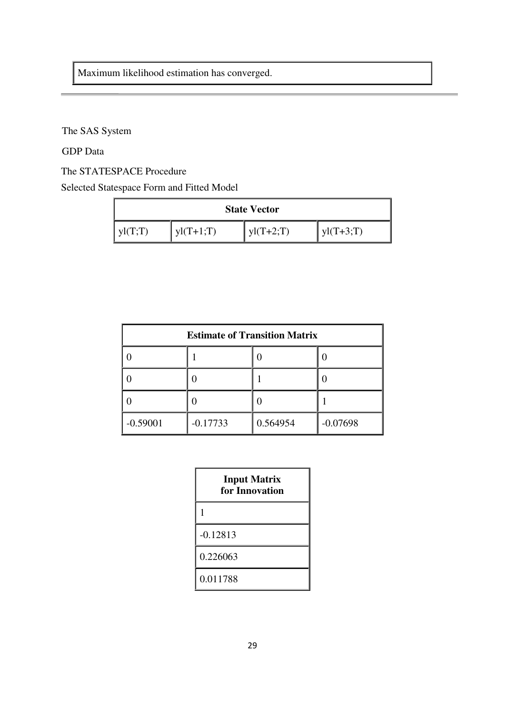Maximum likelihood estimation has converged.

The SAS System

GDP Data

The STATESPACE Procedure

Selected Statespace Form and Fitted Model

| <b>State Vector</b> |             |             |             |  |
|---------------------|-------------|-------------|-------------|--|
| $V1(T\cdot T)$      | $vl(T+1:T)$ | $vl(T+2;T)$ | $vl(T+3;T)$ |  |

| <b>Estimate of Transition Matrix</b> |            |          |            |  |  |
|--------------------------------------|------------|----------|------------|--|--|
|                                      |            |          |            |  |  |
|                                      |            |          |            |  |  |
|                                      |            |          |            |  |  |
| $-0.59001$                           | $-0.17733$ | 0.564954 | $-0.07698$ |  |  |

| <b>Input Matrix</b><br>for Innovation |
|---------------------------------------|
| 1                                     |
| $-0.12813$                            |
| 0.226063                              |
| 0.011788                              |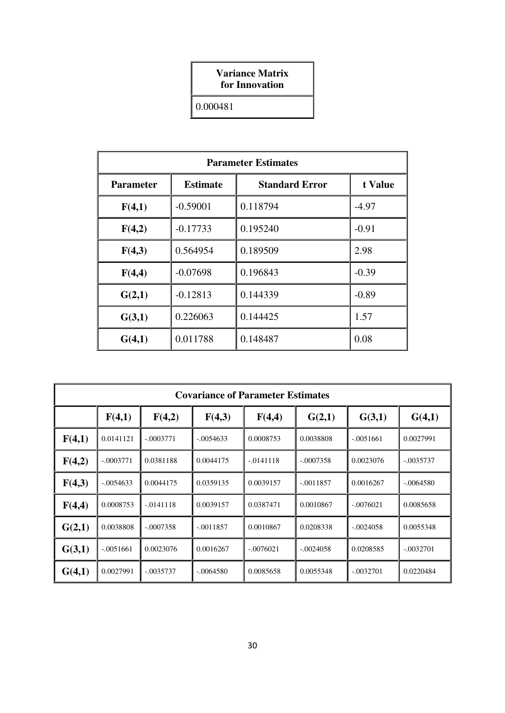## **Variance Matrix for Innovation**

0.000481

| <b>Parameter Estimates</b> |                 |                       |         |  |  |  |
|----------------------------|-----------------|-----------------------|---------|--|--|--|
| <b>Parameter</b>           | <b>Estimate</b> | <b>Standard Error</b> | t Value |  |  |  |
| F(4,1)                     | $-0.59001$      | 0.118794              | $-4.97$ |  |  |  |
| F(4,2)                     | $-0.17733$      | 0.195240              | $-0.91$ |  |  |  |
| F(4,3)                     | 0.564954        | 0.189509              | 2.98    |  |  |  |
| F(4,4)                     | $-0.07698$      | 0.196843              | $-0.39$ |  |  |  |
| G(2,1)                     | $-0.12813$      | 0.144339              | $-0.89$ |  |  |  |
| G(3,1)                     | 0.226063        | 0.144425              | 1.57    |  |  |  |
| G(4,1)                     | 0.011788        | 0.148487              | 0.08    |  |  |  |

| <b>Covariance of Parameter Estimates</b> |             |             |             |             |             |             |             |
|------------------------------------------|-------------|-------------|-------------|-------------|-------------|-------------|-------------|
|                                          | F(4,1)      | F(4,2)      | F(4,3)      | F(4,4)      | G(2,1)      | G(3,1)      | G(4,1)      |
| F(4,1)                                   | 0.0141121   | $-.0003771$ | $-.0054633$ | 0.0008753   | 0.0038808   | $-.0051661$ | 0.0027991   |
| F(4,2)                                   | $-.0003771$ | 0.0381188   | 0.0044175   | $-.0141118$ | $-.0007358$ | 0.0023076   | $-.0035737$ |
| F(4,3)                                   | $-.0054633$ | 0.0044175   | 0.0359135   | 0.0039157   | $-.0011857$ | 0.0016267   | $-.0064580$ |
| F(4,4)                                   | 0.0008753   | $-.0141118$ | 0.0039157   | 0.0387471   | 0.0010867   | $-.0076021$ | 0.0085658   |
| G(2,1)                                   | 0.0038808   | $-.0007358$ | $-.0011857$ | 0.0010867   | 0.0208338   | $-.0024058$ | 0.0055348   |
| G(3,1)                                   | $-.0051661$ | 0.0023076   | 0.0016267   | $-.0076021$ | $-.0024058$ | 0.0208585   | $-.0032701$ |
| G(4,1)                                   | 0.0027991   | $-.0035737$ | $-.0064580$ | 0.0085658   | 0.0055348   | $-.0032701$ | 0.0220484   |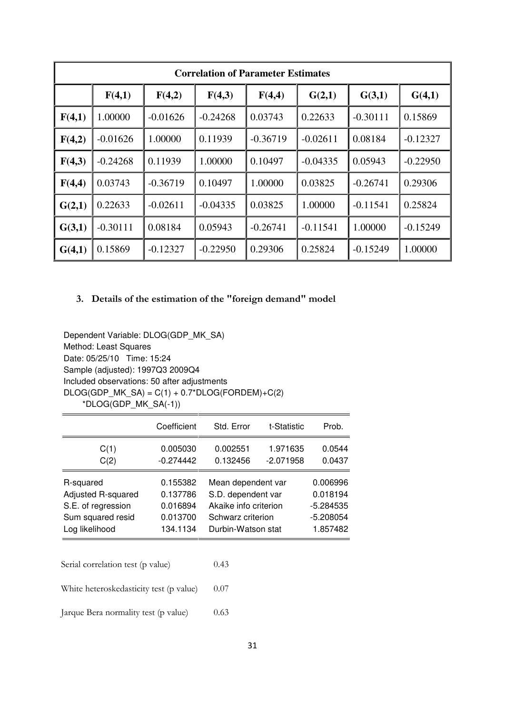| <b>Correlation of Parameter Estimates</b> |            |            |            |            |            |            |            |
|-------------------------------------------|------------|------------|------------|------------|------------|------------|------------|
|                                           | F(4,1)     | F(4,2)     | F(4,3)     | F(4,4)     | G(2,1)     | G(3,1)     | G(4,1)     |
| F(4,1)                                    | 1.00000    | $-0.01626$ | $-0.24268$ | 0.03743    | 0.22633    | $-0.30111$ | 0.15869    |
| F(4,2)                                    | $-0.01626$ | 1.00000    | 0.11939    | $-0.36719$ | $-0.02611$ | 0.08184    | $-0.12327$ |
| F(4,3)                                    | $-0.24268$ | 0.11939    | 1.00000    | 0.10497    | $-0.04335$ | 0.05943    | $-0.22950$ |
| F(4,4)                                    | 0.03743    | $-0.36719$ | 0.10497    | 1.00000    | 0.03825    | $-0.26741$ | 0.29306    |
| G(2,1)                                    | 0.22633    | $-0.02611$ | $-0.04335$ | 0.03825    | 1.00000    | $-0.11541$ | 0.25824    |
| G(3,1)                                    | $-0.30111$ | 0.08184    | 0.05943    | $-0.26741$ | $-0.11541$ | 1.00000    | $-0.15249$ |
| G(4,1)                                    | 0.15869    | $-0.12327$ | $-0.22950$ | 0.29306    | 0.25824    | $-0.15249$ | 1.00000    |

## **3. Details of the estimation of the "foreign demand" model**

Dependent Variable: DLOG(GDP\_MK\_SA) Method: Least Squares Date: 05/25/10 Time: 15:24 Sample (adjusted): 1997Q3 2009Q4 Included observations: 50 after adjustments  $DLOG(GDP_MK_SA) = C(1) + 0.7*DLOG(FORDER) + C(2)$ \*DLOG(GDP\_MK\_SA(-1))

|                    | Coefficient | Std. Error            | t-Statistic | Prob.       |
|--------------------|-------------|-----------------------|-------------|-------------|
| C(1)               | 0.005030    | 0.002551              | 1.971635    | 0.0544      |
| C(2)               | $-0.274442$ | 0.132456              | $-2.071958$ | 0.0437      |
| R-squared          | 0.155382    | Mean dependent var    |             | 0.006996    |
| Adjusted R-squared | 0.137786    | S.D. dependent var    |             | 0.018194    |
| S.E. of regression | 0.016894    | Akaike info criterion |             | $-5.284535$ |
| Sum squared resid  | 0.013700    | Schwarz criterion     |             | $-5.208054$ |
| Log likelihood     | 134.1134    | Durbin-Watson stat    |             | 1.857482    |

| Serial correlation test (p value)       | 0.43 |
|-----------------------------------------|------|
| White heteroskedasticity test (p value) | 0.07 |
| Jarque Bera normality test (p value)    | 0.63 |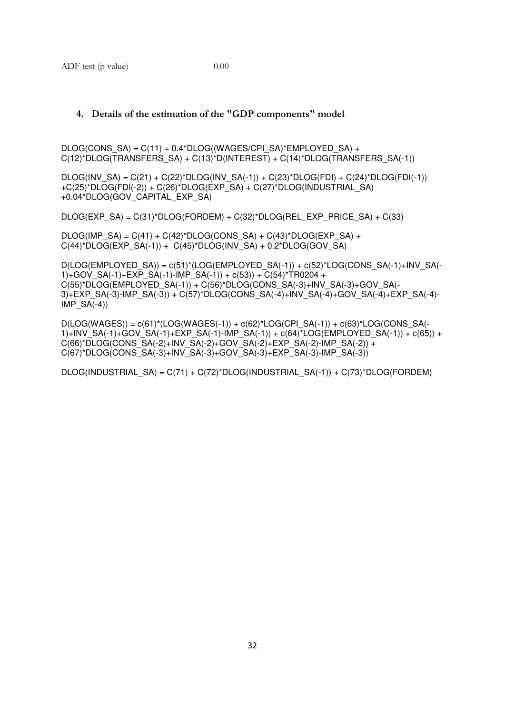#### **4. Details of the estimation of the "GDP components" model**

 $DLOG(CONS SA) = C(11) + 0.4*DLOG((WAGES/CPI SA)*EMPLOYED SA) +$ C(12)\*DLOG(TRANSFERS\_SA) + C(13)\*D(INTEREST) + C(14)\*DLOG(TRANSFERS\_SA(-1))

 $DLOG(INV SA) = C(21) + C(22)*DLOG(INV SA(-1)) + C(23)*DLOG(FDI) + C(24)*DLOG(FDI(-1))$ +C(25)\*DLOG(FDI(-2)) + C(26)\*DLOG(EXP\_SA) + C(27)\*DLOG(INDUSTRIAL\_SA) +0.04\*DLOG(GOV\_CAPITAL\_EXP\_SA)

DLOG(EXP\_SA) = C(31)\*DLOG(FORDEM) + C(32)\*DLOG(REL\_EXP\_PRICE\_SA) + C(33)

 $DLOG(IMP SA) = C(41) + C(42)^*DLOG(CONS SA) + C(43)^*DLOG(EXP SA) +$  $C(44)^*DLOG(EXP-SA(-1)) + C(45)^*DLOG(INV-SA) + 0.2^*DLOG(GOV-SA)$ 

D(LOG(EMPLOYED\_SA)) = c(51)\*(LOG(EMPLOYED\_SA(-1)) + c(52)\*LOG(CONS\_SA(-1)+INV\_SA(- 1)+GOV\_SA(-1)+EXP\_SA(-1)-IMP\_SA(-1)) + c(53)) + C(54)\*TR0204 + C(55)\*DLOG(EMPLOYED\_SA(-1)) + C(56)\*DLOG(CONS\_SA(-3)+INV\_SA(-3)+GOV\_SA(- 3)+EXP\_SA(-3)-IMP\_SA(-3)) + C(57)\*DLOG(CONS\_SA(-4)+INV\_SA(-4)+GOV\_SA(-4)+EXP\_SA(-4)-  $IMP\_SA(-4)$ 

 $D(LOG(WAGES)) = c(61)^*(LOG(WAGES(-1)) + c(62)^*LOG(CPI\_SA(-1)) + c(63)^*LOG(CONS\_SA(-1))$ 1)+INV\_SA(-1)+GOV\_SA(-1)+EXP\_SA(-1)-IMP\_SA(-1)) + c(64)\*LOG(EMPLOYED\_SA(-1)) + c(65)) +  $C(66)^*DLOG(CONS_SA(-2)+INV_SA(-2)+GOV_SA(-2)+EXP_SA(-2)-IMP_SA(-2)) +$ C(67)\*DLOG(CONS\_SA(-3)+INV\_SA(-3)+GOV\_SA(-3)+EXP\_SA(-3)-IMP\_SA(-3))

DLOG(INDUSTRIAL\_SA) = C(71) + C(72)\*DLOG(INDUSTRIAL\_SA(-1)) + C(73)\*DLOG(FORDEM)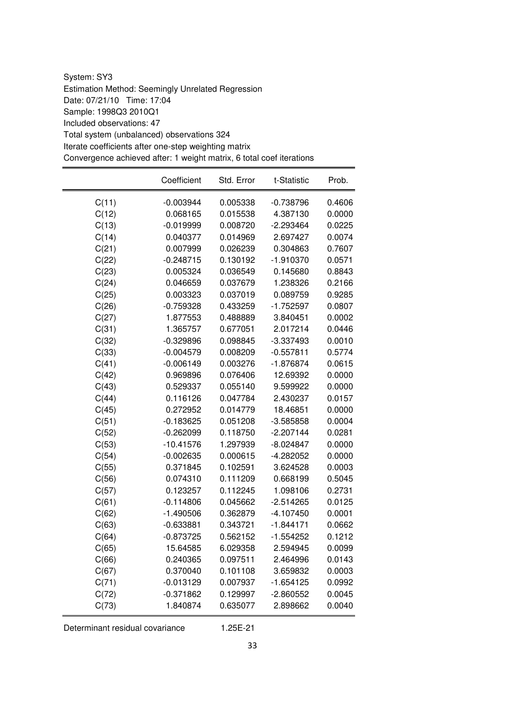System: SY3 Estimation Method: Seemingly Unrelated Regression Date: 07/21/10 Time: 17:04 Sample: 1998Q3 2010Q1 Included observations: 47 Total system (unbalanced) observations 324 Iterate coefficients after one-step weighting matrix Convergence achieved after: 1 weight matrix, 6 total coef iterations

|       | Coefficient | Std. Error | t-Statistic | Prob.  |
|-------|-------------|------------|-------------|--------|
| C(11) | $-0.003944$ | 0.005338   | $-0.738796$ | 0.4606 |
| C(12) | 0.068165    | 0.015538   | 4.387130    | 0.0000 |
| C(13) | $-0.019999$ | 0.008720   | $-2.293464$ | 0.0225 |
| C(14) | 0.040377    | 0.014969   | 2.697427    | 0.0074 |
| C(21) | 0.007999    | 0.026239   | 0.304863    | 0.7607 |
| C(22) | $-0.248715$ | 0.130192   | $-1.910370$ | 0.0571 |
| C(23) | 0.005324    | 0.036549   | 0.145680    | 0.8843 |
| C(24) | 0.046659    | 0.037679   | 1.238326    | 0.2166 |
| C(25) | 0.003323    | 0.037019   | 0.089759    | 0.9285 |
| C(26) | $-0.759328$ | 0.433259   | $-1.752597$ | 0.0807 |
| C(27) | 1.877553    | 0.488889   | 3.840451    | 0.0002 |
| C(31) | 1.365757    | 0.677051   | 2.017214    | 0.0446 |
| C(32) | $-0.329896$ | 0.098845   | $-3.337493$ | 0.0010 |
| C(33) | $-0.004579$ | 0.008209   | $-0.557811$ | 0.5774 |
| C(41) | $-0.006149$ | 0.003276   | $-1.876874$ | 0.0615 |
| C(42) | 0.969896    | 0.076406   | 12.69392    | 0.0000 |
| C(43) | 0.529337    | 0.055140   | 9.599922    | 0.0000 |
| C(44) | 0.116126    | 0.047784   | 2.430237    | 0.0157 |
| C(45) | 0.272952    | 0.014779   | 18.46851    | 0.0000 |
| C(51) | $-0.183625$ | 0.051208   | $-3.585858$ | 0.0004 |
| C(52) | $-0.262099$ | 0.118750   | $-2.207144$ | 0.0281 |
| C(53) | $-10.41576$ | 1.297939   | $-8.024847$ | 0.0000 |
| C(54) | $-0.002635$ | 0.000615   | -4.282052   | 0.0000 |
| C(55) | 0.371845    | 0.102591   | 3.624528    | 0.0003 |
| C(56) | 0.074310    | 0.111209   | 0.668199    | 0.5045 |
| C(57) | 0.123257    | 0.112245   | 1.098106    | 0.2731 |
| C(61) | $-0.114806$ | 0.045662   | $-2.514265$ | 0.0125 |
| C(62) | $-1.490506$ | 0.362879   | $-4.107450$ | 0.0001 |
| C(63) | $-0.633881$ | 0.343721   | $-1.844171$ | 0.0662 |
| C(64) | $-0.873725$ | 0.562152   | $-1.554252$ | 0.1212 |
| C(65) | 15.64585    | 6.029358   | 2.594945    | 0.0099 |
| C(66) | 0.240365    | 0.097511   | 2.464996    | 0.0143 |
| C(67) | 0.370040    | 0.101108   | 3.659832    | 0.0003 |
| C(71) | $-0.013129$ | 0.007937   | $-1.654125$ | 0.0992 |
| C(72) | $-0.371862$ | 0.129997   | $-2.860552$ | 0.0045 |
| C(73) | 1.840874    | 0.635077   | 2.898662    | 0.0040 |

Determinant residual covariance 1.25E-21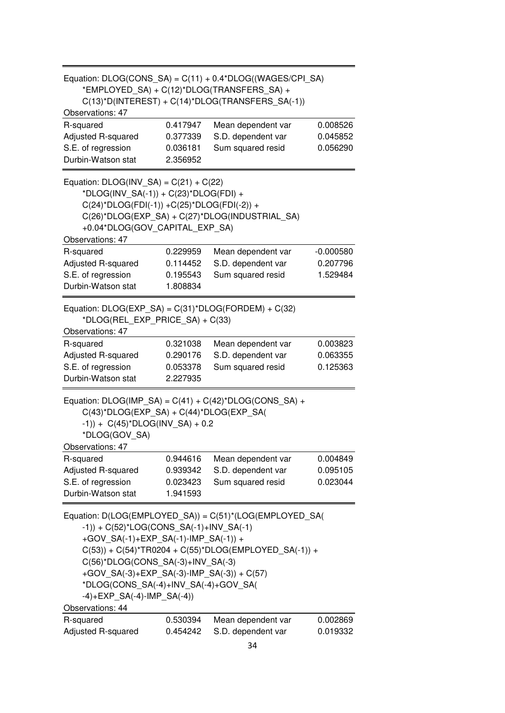| Equation: DLOG(CONS_SA) = C(11) + 0.4*DLOG((WAGES/CPI_SA)                                        |                      |                                                         |                      |  |  |  |  |  |  |  |
|--------------------------------------------------------------------------------------------------|----------------------|---------------------------------------------------------|----------------------|--|--|--|--|--|--|--|
| *EMPLOYED_SA) + C(12)*DLOG(TRANSFERS_SA) +                                                       |                      |                                                         |                      |  |  |  |  |  |  |  |
|                                                                                                  |                      | $C(13)^*D(INTEREST) + C(14)^*DLOG(TRANSFERS_SA(-1))$    |                      |  |  |  |  |  |  |  |
| Observations: 47                                                                                 |                      |                                                         |                      |  |  |  |  |  |  |  |
| R-squared                                                                                        | 0.417947             | Mean dependent var                                      | 0.008526             |  |  |  |  |  |  |  |
| Adjusted R-squared                                                                               | 0.377339             | S.D. dependent var                                      | 0.045852             |  |  |  |  |  |  |  |
| S.E. of regression                                                                               | 0.036181             | Sum squared resid                                       | 0.056290             |  |  |  |  |  |  |  |
| Durbin-Watson stat                                                                               | 2.356952             |                                                         |                      |  |  |  |  |  |  |  |
| Equation: $DLOG(INV SA) = C(21) + C(22)$                                                         |                      |                                                         |                      |  |  |  |  |  |  |  |
| *DLOG(INV_SA(-1)) + C(23)*DLOG(FDI) +                                                            |                      |                                                         |                      |  |  |  |  |  |  |  |
| $C(24)^*DLOG(FDI(-1)) + C(25)^*DLOG(FDI(-2)) +$                                                  |                      |                                                         |                      |  |  |  |  |  |  |  |
|                                                                                                  |                      | C(26)*DLOG(EXP_SA) + C(27)*DLOG(INDUSTRIAL_SA)          |                      |  |  |  |  |  |  |  |
| +0.04*DLOG(GOV_CAPITAL_EXP_SA)                                                                   |                      |                                                         |                      |  |  |  |  |  |  |  |
| Observations: 47                                                                                 |                      |                                                         |                      |  |  |  |  |  |  |  |
| R-squared                                                                                        | 0.229959             | Mean dependent var                                      | $-0.000580$          |  |  |  |  |  |  |  |
| Adjusted R-squared                                                                               | 0.114452             | S.D. dependent var                                      | 0.207796             |  |  |  |  |  |  |  |
| S.E. of regression                                                                               | 0.195543             | Sum squared resid                                       | 1.529484             |  |  |  |  |  |  |  |
| Durbin-Watson stat                                                                               | 1.808834             |                                                         |                      |  |  |  |  |  |  |  |
|                                                                                                  |                      |                                                         |                      |  |  |  |  |  |  |  |
| Equation: $DLOG(EXP_SA) = C(31)^*DLOG(FORDEM) + C(32)$                                           |                      |                                                         |                      |  |  |  |  |  |  |  |
| *DLOG(REL_EXP_PRICE_SA) + C(33)<br>Observations: 47                                              |                      |                                                         |                      |  |  |  |  |  |  |  |
|                                                                                                  |                      |                                                         |                      |  |  |  |  |  |  |  |
| R-squared                                                                                        | 0.321038<br>0.290176 | Mean dependent var<br>S.D. dependent var                | 0.003823<br>0.063355 |  |  |  |  |  |  |  |
| Adjusted R-squared                                                                               |                      |                                                         |                      |  |  |  |  |  |  |  |
| S.E. of regression<br>Durbin-Watson stat                                                         | 0.053378             | Sum squared resid                                       | 0.125363             |  |  |  |  |  |  |  |
|                                                                                                  | 2.227935             |                                                         |                      |  |  |  |  |  |  |  |
| Equation: DLOG(IMP_SA) = $C(41) + C(42)^*DLOG(CONS_SA) +$                                        |                      |                                                         |                      |  |  |  |  |  |  |  |
| $C(43)^*DLOG(EXP_SA) + C(44)^*DLOG(EXP_SA($                                                      |                      |                                                         |                      |  |  |  |  |  |  |  |
| $-1$ )) + C(45)*DLOG(INV SA) + 0.2                                                               |                      |                                                         |                      |  |  |  |  |  |  |  |
| *DLOG(GOV_SA)                                                                                    |                      |                                                         |                      |  |  |  |  |  |  |  |
| Observations: 47                                                                                 |                      |                                                         |                      |  |  |  |  |  |  |  |
| R-squared                                                                                        | 0.944616             | Mean dependent var                                      | 0.004849             |  |  |  |  |  |  |  |
| Adjusted R-squared                                                                               | 0.939342             | S.D. dependent var                                      | 0.095105             |  |  |  |  |  |  |  |
| S.E. of regression                                                                               | 0.023423             | Sum squared resid                                       | 0.023044             |  |  |  |  |  |  |  |
| Durbin-Watson stat                                                                               | 1.941593             |                                                         |                      |  |  |  |  |  |  |  |
|                                                                                                  |                      | Equation: D(LOG(EMPLOYED_SA)) = C(51)*(LOG(EMPLOYED_SA( |                      |  |  |  |  |  |  |  |
| $-1$ )) + C(52)*LOG(CONS_SA(-1)+lNV_SA(-1)                                                       |                      |                                                         |                      |  |  |  |  |  |  |  |
|                                                                                                  |                      |                                                         |                      |  |  |  |  |  |  |  |
| +GOV_SA(-1)+EXP_SA(-1)-IMP_SA(-1)) +<br>$C(53)$ ) + C(54)*TR0204 + C(55)*DLOG(EMPLOYED_SA(-1)) + |                      |                                                         |                      |  |  |  |  |  |  |  |
| $C(56)^*DLOG(CONS_SA(-3)+INV_SA(-3)$                                                             |                      |                                                         |                      |  |  |  |  |  |  |  |
| +GOV_SA(-3)+EXP_SA(-3)-IMP_SA(-3)) + C(57)                                                       |                      |                                                         |                      |  |  |  |  |  |  |  |
| *DLOG(CONS_SA(-4)+INV_SA(-4)+GOV_SA(                                                             |                      |                                                         |                      |  |  |  |  |  |  |  |
| $-4$ )+EXP_SA(-4)-IMP_SA(-4))                                                                    |                      |                                                         |                      |  |  |  |  |  |  |  |
| Observations: 44                                                                                 |                      |                                                         |                      |  |  |  |  |  |  |  |
| R-squared                                                                                        | 0.530394             | Mean dependent var                                      | 0.002869             |  |  |  |  |  |  |  |
| Adjusted R-squared                                                                               | 0.454242             | S.D. dependent var                                      | 0.019332             |  |  |  |  |  |  |  |
|                                                                                                  |                      |                                                         |                      |  |  |  |  |  |  |  |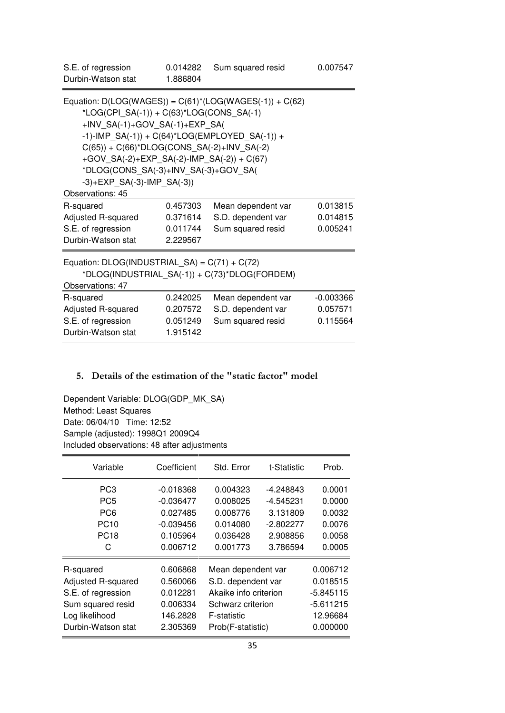| S.E. of regression<br>Durbin-Watson stat                                                                                                                                                                                                                                                                                                                                                        | 0.014282<br>1.886804 | Sum squared resid  | 0.007547    |  |  |  |  |  |  |  |
|-------------------------------------------------------------------------------------------------------------------------------------------------------------------------------------------------------------------------------------------------------------------------------------------------------------------------------------------------------------------------------------------------|----------------------|--------------------|-------------|--|--|--|--|--|--|--|
| Equation: $D(LOG(WAGES)) = C(61)^*(LOG(WAGES(-1)) + C(62))$<br>$*LOG(CPI\_SA(-1)) + C(63)*LOG(CONS\_SA(-1))$<br>+INV_SA(-1)+GOV_SA(-1)+EXP_SA(<br>-1)-IMP_SA(-1)) + C(64)*LOG(EMPLOYED_SA(-1)) +<br>$C(65)$ ) + $C(66)^*DLOG(CONS_SA(-2)+INV_SA(-2)$<br>+GOV_SA(-2)+EXP_SA(-2)-IMP_SA(-2)) + C(67)<br>*DLOG(CONS_SA(-3)+INV_SA(-3)+GOV_SA(<br>$-3$ )+EXP_SA(-3)-IMP_SA(-3))<br>Observations: 45 |                      |                    |             |  |  |  |  |  |  |  |
| R-squared                                                                                                                                                                                                                                                                                                                                                                                       | 0.457303             | Mean dependent var | 0.013815    |  |  |  |  |  |  |  |
| Adjusted R-squared                                                                                                                                                                                                                                                                                                                                                                              | 0.371614             | S.D. dependent var | 0.014815    |  |  |  |  |  |  |  |
| S.E. of regression                                                                                                                                                                                                                                                                                                                                                                              | 0.011744             | Sum squared resid  | 0.005241    |  |  |  |  |  |  |  |
| Durbin-Watson stat                                                                                                                                                                                                                                                                                                                                                                              | 2.229567             |                    |             |  |  |  |  |  |  |  |
| Equation: $DLOG(INDUSTRIAL_SA) = C(71) + C(72)$<br>*DLOG(INDUSTRIAL_SA(-1)) + C(73)*DLOG(FORDEM)<br>Observations: 47                                                                                                                                                                                                                                                                            |                      |                    |             |  |  |  |  |  |  |  |
| R-squared                                                                                                                                                                                                                                                                                                                                                                                       | 0.242025             | Mean dependent var | $-0.003366$ |  |  |  |  |  |  |  |
| Adjusted R-squared                                                                                                                                                                                                                                                                                                                                                                              | 0.207572             | S.D. dependent var | 0.057571    |  |  |  |  |  |  |  |
| S.E. of regression                                                                                                                                                                                                                                                                                                                                                                              | 0.051249             | Sum squared resid  | 0.115564    |  |  |  |  |  |  |  |
| Durbin-Watson stat                                                                                                                                                                                                                                                                                                                                                                              | 1.915142             |                    |             |  |  |  |  |  |  |  |

## **5. Details of the estimation of the "static factor" model**

Dependent Variable: DLOG(GDP\_MK\_SA) Method: Least Squares Date: 06/04/10 Time: 12:52 Sample (adjusted): 1998Q1 2009Q4 Included observations: 48 after adjustments

| Variable           | Coefficient | Std. Error            | t-Statistic | Prob.    |  |  |
|--------------------|-------------|-----------------------|-------------|----------|--|--|
| PC <sub>3</sub>    | $-0.018368$ | 0.004323              | -4.248843   | 0.0001   |  |  |
| PC <sub>5</sub>    | $-0.036477$ | 0.008025              | 0.0000      |          |  |  |
| PC <sub>6</sub>    | 0.027485    | 0.008776              | 3.131809    | 0.0032   |  |  |
| <b>PC10</b>        | $-0.039456$ | 0.014080              | $-2.802277$ | 0.0076   |  |  |
| <b>PC18</b>        | 0.105964    | 0.036428              | 2.908856    | 0.0058   |  |  |
| С                  | 0.006712    | 0.001773              | 3.786594    | 0.0005   |  |  |
| R-squared          | 0.606868    | Mean dependent var    | 0.006712    |          |  |  |
| Adjusted R-squared | 0.560066    | S.D. dependent var    | 0.018515    |          |  |  |
| S.E. of regression | 0.012281    | Akaike info criterion | -5.845115   |          |  |  |
| Sum squared resid  | 0.006334    | Schwarz criterion     | $-5.611215$ |          |  |  |
| Log likelihood     | 146.2828    | F-statistic           | 12.96684    |          |  |  |
| Durbin-Watson stat | 2.305369    | Prob(F-statistic)     |             | 0.000000 |  |  |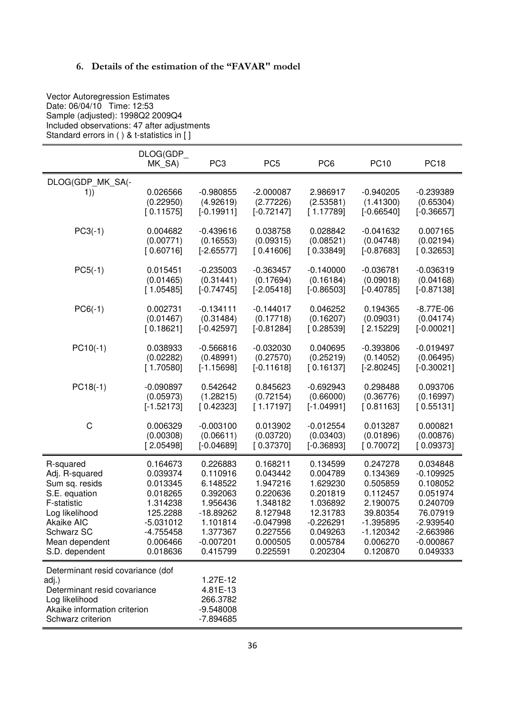## **6. Details of the estimation of the "FAVAR" model**

 Vector Autoregression Estimates Date: 06/04/10 Time: 12:53 Sample (adjusted): 1998Q2 2009Q4 Included observations: 47 after adjustments Standard errors in ( ) & t-statistics in [ ]

|                                                                                                                                                   | DLOG(GDP_<br>MK_SA)                | PC <sub>3</sub>                                                | PC <sub>5</sub>                          | PC <sub>6</sub>                    | <b>PC10</b>                              | <b>PC18</b>                              |
|---------------------------------------------------------------------------------------------------------------------------------------------------|------------------------------------|----------------------------------------------------------------|------------------------------------------|------------------------------------|------------------------------------------|------------------------------------------|
| DLOG(GDP_MK_SA(-<br>1))                                                                                                                           | 0.026566<br>(0.22950)<br>[0.11575] | $-0.980855$<br>(4.92619)<br>$[-0.19911]$                       | $-2.000087$<br>(2.77226)<br>$[-0.72147]$ | 2.986917<br>(2.53581)<br>[1.17789] | $-0.940205$<br>(1.41300)<br>$[-0.66540]$ | $-0.239389$<br>(0.65304)<br>$[-0.36657]$ |
| $PC3(-1)$                                                                                                                                         | 0.004682                           | $-0.439616$                                                    | 0.038758                                 | 0.028842                           | $-0.041632$                              | 0.007165                                 |
|                                                                                                                                                   | (0.00771)                          | (0.16553)                                                      | (0.09315)                                | (0.08521)                          | (0.04748)                                | (0.02194)                                |
|                                                                                                                                                   | [0.60716]                          | $[-2.65577]$                                                   | [0.41606]                                | [0.33849]                          | $[-0.87683]$                             | [0.32653]                                |
| $PC5(-1)$                                                                                                                                         | 0.015451                           | $-0.235003$                                                    | $-0.363457$                              | $-0.140000$                        | $-0.036781$                              | $-0.036319$                              |
|                                                                                                                                                   | (0.01465)                          | (0.31441)                                                      | (0.17694)                                | (0.16184)                          | (0.09018)                                | (0.04168)                                |
|                                                                                                                                                   | [1.05485]                          | $[-0.74745]$                                                   | $[-2.05418]$                             | $[-0.86503]$                       | $[-0.40785]$                             | $[-0.87138]$                             |
| $PC6(-1)$                                                                                                                                         | 0.002731                           | $-0.134111$                                                    | $-0.144017$                              | 0.046252                           | 0.194365                                 | $-8.77E-06$                              |
|                                                                                                                                                   | (0.01467)                          | (0.31484)                                                      | (0.17718)                                | (0.16207)                          | (0.09031)                                | (0.04174)                                |
|                                                                                                                                                   | [0.18621]                          | $[-0.42597]$                                                   | $[-0.81284]$                             | [0.28539]                          | [2.15229]                                | $[-0.00021]$                             |
| $PC10(-1)$                                                                                                                                        | 0.038933                           | $-0.566816$                                                    | $-0.032030$                              | 0.040695                           | $-0.393806$                              | $-0.019497$                              |
|                                                                                                                                                   | (0.02282)                          | (0.48991)                                                      | (0.27570)                                | (0.25219)                          | (0.14052)                                | (0.06495)                                |
|                                                                                                                                                   | [1.70580]                          | $[-1.15698]$                                                   | $[-0.11618]$                             | [0.16137]                          | $[-2.80245]$                             | $[-0.30021]$                             |
| $PC18(-1)$                                                                                                                                        | $-0.090897$                        | 0.542642                                                       | 0.845623                                 | $-0.692943$                        | 0.298488                                 | 0.093706                                 |
|                                                                                                                                                   | (0.05973)                          | (1.28215)                                                      | (0.72154)                                | (0.66000)                          | (0.36776)                                | (0.16997)                                |
|                                                                                                                                                   | $[-1.52173]$                       | [0.42323]                                                      | [1.17197]                                | $[-1.04991]$                       | [0.81163]                                | [0.55131]                                |
| C                                                                                                                                                 | 0.006329                           | $-0.003100$                                                    | 0.013902                                 | $-0.012554$                        | 0.013287                                 | 0.000821                                 |
|                                                                                                                                                   | (0.00308)                          | (0.06611)                                                      | (0.03720)                                | (0.03403)                          | (0.01896)                                | (0.00876)                                |
|                                                                                                                                                   | [2.05498]                          | $[-0.04689]$                                                   | [0.37370]                                | $[-0.36893]$                       | [0.70072]                                | [0.09373]                                |
| R-squared                                                                                                                                         | 0.164673                           | 0.226883                                                       | 0.168211                                 | 0.134599                           | 0.247278                                 | 0.034848                                 |
| Adj. R-squared                                                                                                                                    | 0.039374                           | 0.110916                                                       | 0.043442                                 | 0.004789                           | 0.134369                                 | $-0.109925$                              |
| Sum sq. resids                                                                                                                                    | 0.013345                           | 6.148522                                                       | 1.947216                                 | 1.629230                           | 0.505859                                 | 0.108052                                 |
| S.E. equation                                                                                                                                     | 0.018265                           | 0.392063                                                       | 0.220636                                 | 0.201819                           | 0.112457                                 | 0.051974                                 |
| F-statistic                                                                                                                                       | 1.314238                           | 1.956436                                                       | 1.348182                                 | 1.036892                           | 2.190075                                 | 0.240709                                 |
| Log likelihood                                                                                                                                    | 125.2288                           | -18.89262                                                      | 8.127948                                 | 12.31783                           | 39.80354                                 | 76.07919                                 |
| Akaike AIC                                                                                                                                        | $-5.031012$                        | 1.101814                                                       | $-0.047998$                              | $-0.226291$                        | $-1.395895$                              | $-2.939540$                              |
| Schwarz SC                                                                                                                                        | $-4.755458$                        | 1.377367                                                       | 0.227556                                 | 0.049263                           | $-1.120342$                              | $-2.663986$                              |
| Mean dependent                                                                                                                                    | 0.006466                           | $-0.007201$                                                    | 0.000505                                 | 0.005784                           | 0.006270                                 | $-0.000867$                              |
| S.D. dependent                                                                                                                                    | 0.018636                           | 0.415799                                                       | 0.225591                                 | 0.202304                           | 0.120870                                 | 0.049333                                 |
| Determinant resid covariance (dof<br>adj.)<br>Determinant resid covariance<br>Log likelihood<br>Akaike information criterion<br>Schwarz criterion |                                    | 1.27E-12<br>4.81E-13<br>266.3782<br>$-9.548008$<br>$-7.894685$ |                                          |                                    |                                          |                                          |